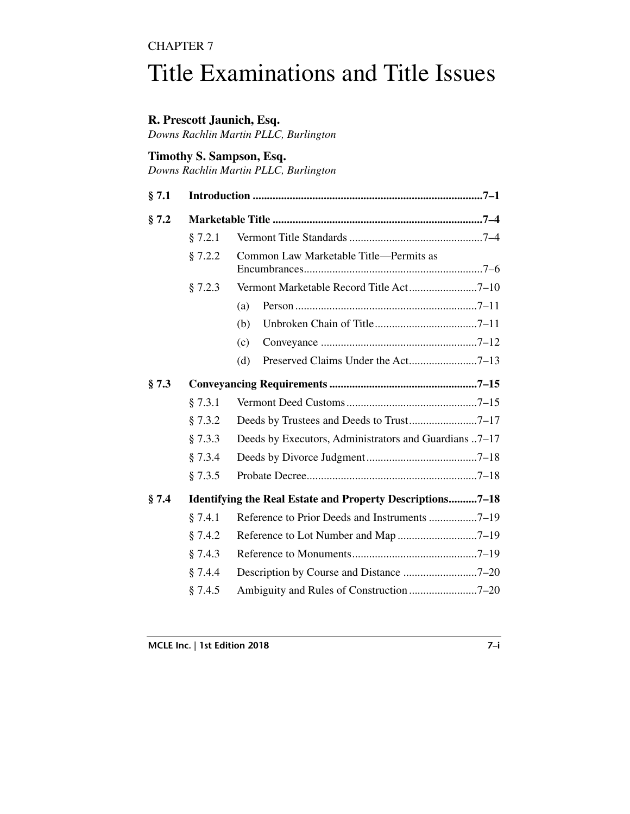# CHAPTER 7

# Title Examinations and Title Issues

## **R. Prescott Jaunich, Esq.**

*Downs Rachlin Martin PLLC, Burlington*

## **Timothy S. Sampson, Esq.**

*Downs Rachlin Martin PLLC, Burlington*

| § 7.1 |                                                                  |                                                       |  |  |  |  |
|-------|------------------------------------------------------------------|-------------------------------------------------------|--|--|--|--|
| § 7.2 |                                                                  |                                                       |  |  |  |  |
|       | § 7.2.1                                                          |                                                       |  |  |  |  |
|       | § 7.2.2                                                          | Common Law Marketable Title-Permits as                |  |  |  |  |
|       | § 7.2.3                                                          | Vermont Marketable Record Title Act7-10               |  |  |  |  |
|       |                                                                  | (a)                                                   |  |  |  |  |
|       |                                                                  | (b)                                                   |  |  |  |  |
|       |                                                                  | (c)                                                   |  |  |  |  |
|       |                                                                  | (d)                                                   |  |  |  |  |
| § 7.3 |                                                                  |                                                       |  |  |  |  |
|       | § 7.3.1                                                          |                                                       |  |  |  |  |
|       | § 7.3.2                                                          | Deeds by Trustees and Deeds to Trust7-17              |  |  |  |  |
|       | § 7.3.3                                                          | Deeds by Executors, Administrators and Guardians 7–17 |  |  |  |  |
|       | § 7.3.4                                                          |                                                       |  |  |  |  |
|       | § 7.3.5                                                          |                                                       |  |  |  |  |
| § 7.4 | <b>Identifying the Real Estate and Property Descriptions7–18</b> |                                                       |  |  |  |  |
|       | § 7.4.1                                                          |                                                       |  |  |  |  |
|       | § 7.4.2                                                          |                                                       |  |  |  |  |
|       | § 7.4.3                                                          |                                                       |  |  |  |  |
|       | § 7.4.4                                                          |                                                       |  |  |  |  |
|       | § 7.4.5                                                          |                                                       |  |  |  |  |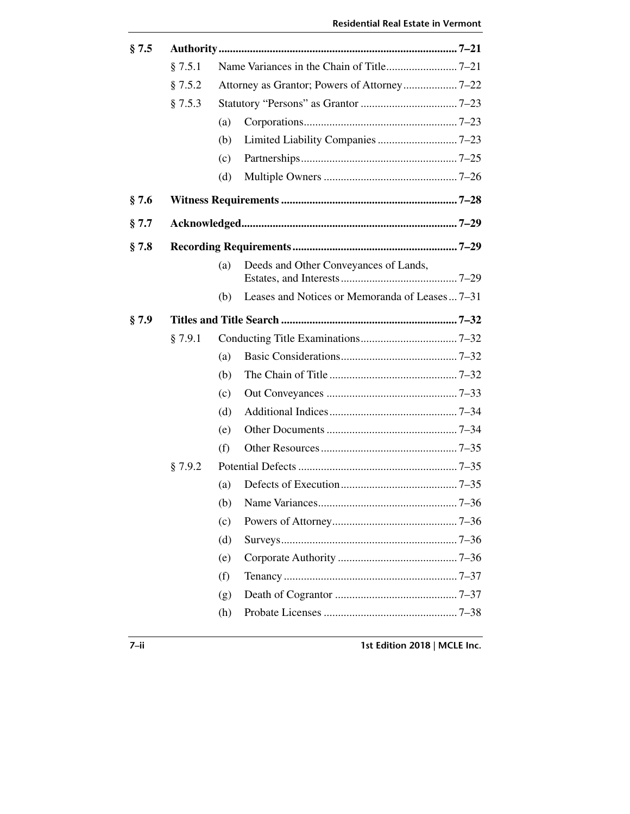| § 7.5.1 |     |                                       |                                               |  |
|---------|-----|---------------------------------------|-----------------------------------------------|--|
| § 7.5.2 |     |                                       |                                               |  |
| § 7.5.3 |     |                                       |                                               |  |
|         | (a) |                                       |                                               |  |
|         | (b) |                                       |                                               |  |
|         | (c) |                                       |                                               |  |
|         | (d) |                                       |                                               |  |
|         |     |                                       |                                               |  |
|         |     |                                       |                                               |  |
|         |     |                                       |                                               |  |
|         | (a) | Deeds and Other Conveyances of Lands, |                                               |  |
|         | (b) |                                       |                                               |  |
|         |     |                                       |                                               |  |
| § 7.9.1 |     |                                       |                                               |  |
|         | (a) |                                       |                                               |  |
|         | (b) |                                       |                                               |  |
|         | (c) |                                       |                                               |  |
|         | (d) |                                       |                                               |  |
|         | (e) |                                       |                                               |  |
|         | (f) |                                       |                                               |  |
| § 7.9.2 |     |                                       |                                               |  |
|         | (a) |                                       |                                               |  |
|         |     |                                       |                                               |  |
|         | (c) |                                       |                                               |  |
|         | (d) |                                       |                                               |  |
|         | (e) |                                       |                                               |  |
|         | (f) |                                       |                                               |  |
|         | (g) |                                       |                                               |  |
|         | (h) |                                       |                                               |  |
|         |     |                                       | Leases and Notices or Memoranda of Leases7–31 |  |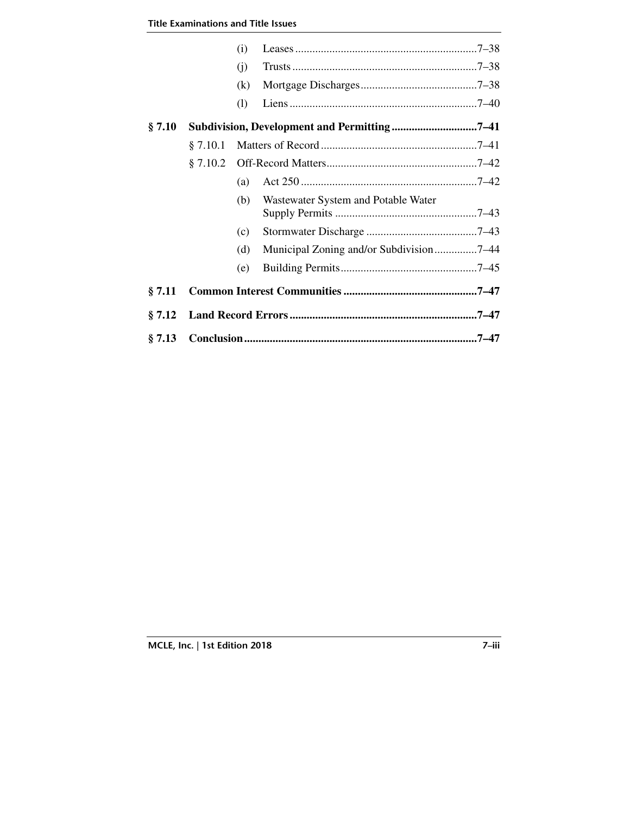|        |          | (i) |                                         |  |  |  |  |
|--------|----------|-----|-----------------------------------------|--|--|--|--|
|        |          | (i) |                                         |  |  |  |  |
|        |          | (k) |                                         |  |  |  |  |
|        |          | (1) |                                         |  |  |  |  |
| § 7.10 |          |     |                                         |  |  |  |  |
|        | § 7.10.1 |     |                                         |  |  |  |  |
|        | § 7.10.2 |     |                                         |  |  |  |  |
|        |          | (a) |                                         |  |  |  |  |
|        |          | (b) | Wastewater System and Potable Water     |  |  |  |  |
|        |          | (c) |                                         |  |  |  |  |
|        |          | (d) | Municipal Zoning and/or Subdivision7–44 |  |  |  |  |
|        |          | (e) |                                         |  |  |  |  |
| § 7.11 |          |     |                                         |  |  |  |  |
| § 7.12 |          |     |                                         |  |  |  |  |
| § 7.13 |          |     |                                         |  |  |  |  |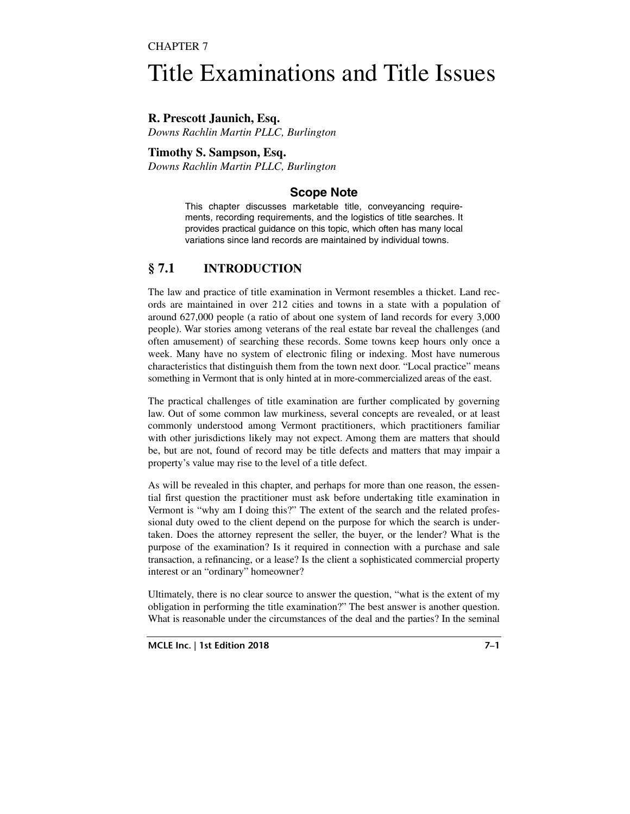## CHAPTER 7

# Title Examinations and Title Issues

**R. Prescott Jaunich, Esq.**  *Downs Rachlin Martin PLLC, Burlington* 

**Timothy S. Sampson, Esq.**  *Downs Rachlin Martin PLLC, Burlington* 

# **Scope Note**

This chapter discusses marketable title, conveyancing requirements, recording requirements, and the logistics of title searches. It provides practical guidance on this topic, which often has many local variations since land records are maintained by individual towns.

# **§ 7.1 INTRODUCTION**

The law and practice of title examination in Vermont resembles a thicket. Land records are maintained in over 212 cities and towns in a state with a population of around 627,000 people (a ratio of about one system of land records for every 3,000 people). War stories among veterans of the real estate bar reveal the challenges (and often amusement) of searching these records. Some towns keep hours only once a week. Many have no system of electronic filing or indexing. Most have numerous characteristics that distinguish them from the town next door. "Local practice" means something in Vermont that is only hinted at in more-commercialized areas of the east.

The practical challenges of title examination are further complicated by governing law. Out of some common law murkiness, several concepts are revealed, or at least commonly understood among Vermont practitioners, which practitioners familiar with other jurisdictions likely may not expect. Among them are matters that should be, but are not, found of record may be title defects and matters that may impair a property's value may rise to the level of a title defect.

As will be revealed in this chapter, and perhaps for more than one reason, the essential first question the practitioner must ask before undertaking title examination in Vermont is "why am I doing this?" The extent of the search and the related professional duty owed to the client depend on the purpose for which the search is undertaken. Does the attorney represent the seller, the buyer, or the lender? What is the purpose of the examination? Is it required in connection with a purchase and sale transaction, a refinancing, or a lease? Is the client a sophisticated commercial property interest or an "ordinary" homeowner?

Ultimately, there is no clear source to answer the question, "what is the extent of my obligation in performing the title examination?" The best answer is another question. What is reasonable under the circumstances of the deal and the parties? In the seminal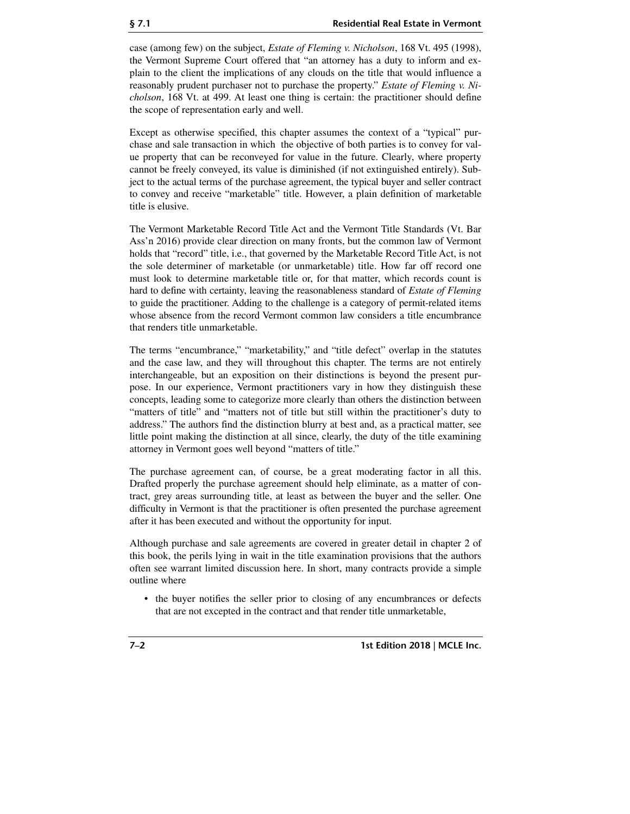case (among few) on the subject, *Estate of Fleming v. Nicholson*, 168 Vt. 495 (1998), the Vermont Supreme Court offered that "an attorney has a duty to inform and explain to the client the implications of any clouds on the title that would influence a reasonably prudent purchaser not to purchase the property." *Estate of Fleming v. Nicholson*, 168 Vt. at 499. At least one thing is certain: the practitioner should define the scope of representation early and well.

Except as otherwise specified, this chapter assumes the context of a "typical" purchase and sale transaction in which the objective of both parties is to convey for value property that can be reconveyed for value in the future. Clearly, where property cannot be freely conveyed, its value is diminished (if not extinguished entirely). Subject to the actual terms of the purchase agreement, the typical buyer and seller contract to convey and receive "marketable" title. However, a plain definition of marketable title is elusive.

The Vermont Marketable Record Title Act and the Vermont Title Standards (Vt. Bar Ass'n 2016) provide clear direction on many fronts, but the common law of Vermont holds that "record" title, i.e., that governed by the Marketable Record Title Act, is not the sole determiner of marketable (or unmarketable) title. How far off record one must look to determine marketable title or, for that matter, which records count is hard to define with certainty, leaving the reasonableness standard of *Estate of Fleming* to guide the practitioner. Adding to the challenge is a category of permit-related items whose absence from the record Vermont common law considers a title encumbrance that renders title unmarketable.

The terms "encumbrance," "marketability," and "title defect" overlap in the statutes and the case law, and they will throughout this chapter. The terms are not entirely interchangeable, but an exposition on their distinctions is beyond the present purpose. In our experience, Vermont practitioners vary in how they distinguish these concepts, leading some to categorize more clearly than others the distinction between "matters of title" and "matters not of title but still within the practitioner's duty to address." The authors find the distinction blurry at best and, as a practical matter, see little point making the distinction at all since, clearly, the duty of the title examining attorney in Vermont goes well beyond "matters of title."

The purchase agreement can, of course, be a great moderating factor in all this. Drafted properly the purchase agreement should help eliminate, as a matter of contract, grey areas surrounding title, at least as between the buyer and the seller. One difficulty in Vermont is that the practitioner is often presented the purchase agreement after it has been executed and without the opportunity for input.

Although purchase and sale agreements are covered in greater detail in chapter 2 of this book, the perils lying in wait in the title examination provisions that the authors often see warrant limited discussion here. In short, many contracts provide a simple outline where

• the buyer notifies the seller prior to closing of any encumbrances or defects that are not excepted in the contract and that render title unmarketable,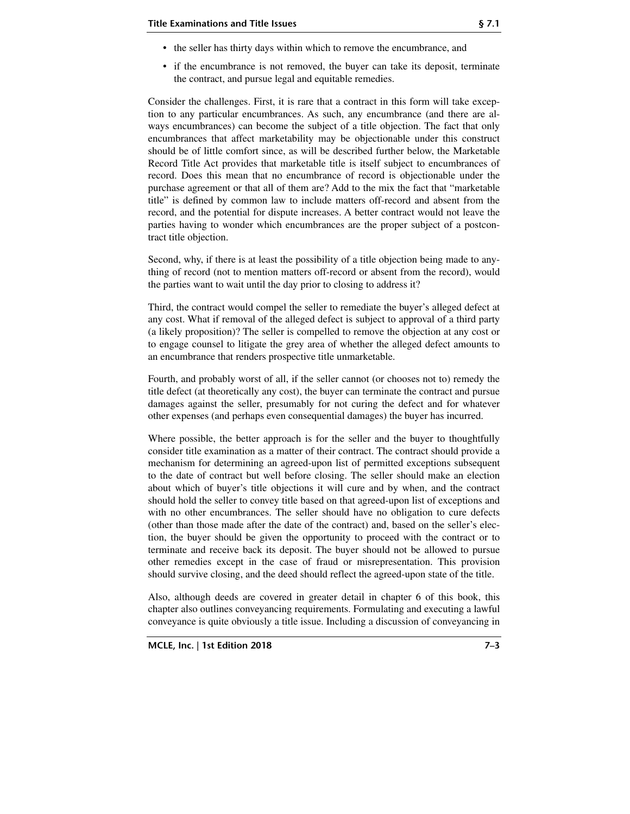- the seller has thirty days within which to remove the encumbrance, and
- if the encumbrance is not removed, the buyer can take its deposit, terminate the contract, and pursue legal and equitable remedies.

Consider the challenges. First, it is rare that a contract in this form will take exception to any particular encumbrances. As such, any encumbrance (and there are always encumbrances) can become the subject of a title objection. The fact that only encumbrances that affect marketability may be objectionable under this construct should be of little comfort since, as will be described further below, the Marketable Record Title Act provides that marketable title is itself subject to encumbrances of record. Does this mean that no encumbrance of record is objectionable under the purchase agreement or that all of them are? Add to the mix the fact that "marketable title" is defined by common law to include matters off-record and absent from the record, and the potential for dispute increases. A better contract would not leave the parties having to wonder which encumbrances are the proper subject of a postcontract title objection.

Second, why, if there is at least the possibility of a title objection being made to anything of record (not to mention matters off-record or absent from the record), would the parties want to wait until the day prior to closing to address it?

Third, the contract would compel the seller to remediate the buyer's alleged defect at any cost. What if removal of the alleged defect is subject to approval of a third party (a likely proposition)? The seller is compelled to remove the objection at any cost or to engage counsel to litigate the grey area of whether the alleged defect amounts to an encumbrance that renders prospective title unmarketable.

Fourth, and probably worst of all, if the seller cannot (or chooses not to) remedy the title defect (at theoretically any cost), the buyer can terminate the contract and pursue damages against the seller, presumably for not curing the defect and for whatever other expenses (and perhaps even consequential damages) the buyer has incurred.

Where possible, the better approach is for the seller and the buyer to thoughtfully consider title examination as a matter of their contract. The contract should provide a mechanism for determining an agreed-upon list of permitted exceptions subsequent to the date of contract but well before closing. The seller should make an election about which of buyer's title objections it will cure and by when, and the contract should hold the seller to convey title based on that agreed-upon list of exceptions and with no other encumbrances. The seller should have no obligation to cure defects (other than those made after the date of the contract) and, based on the seller's election, the buyer should be given the opportunity to proceed with the contract or to terminate and receive back its deposit. The buyer should not be allowed to pursue other remedies except in the case of fraud or misrepresentation. This provision should survive closing, and the deed should reflect the agreed-upon state of the title.

Also, although deeds are covered in greater detail in chapter 6 of this book, this chapter also outlines conveyancing requirements. Formulating and executing a lawful conveyance is quite obviously a title issue. Including a discussion of conveyancing in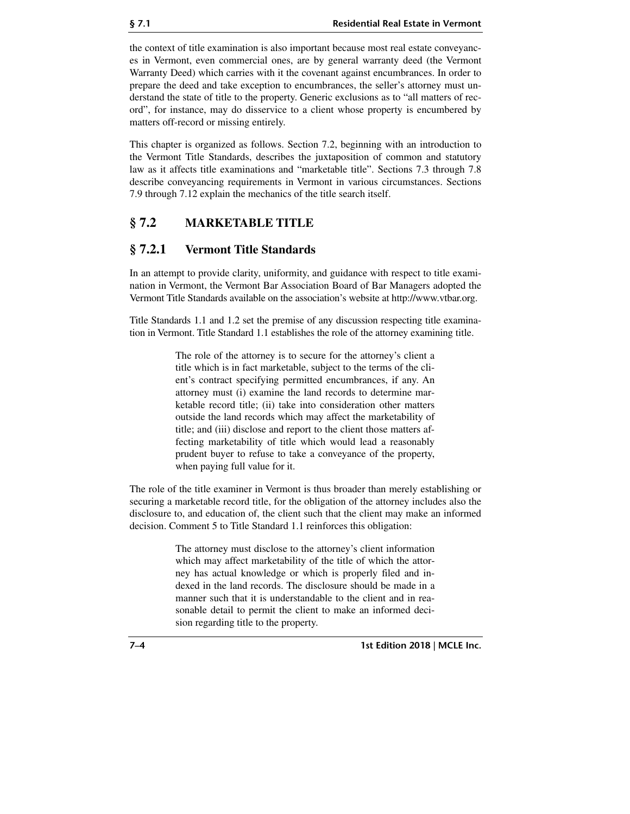the context of title examination is also important because most real estate conveyances in Vermont, even commercial ones, are by general warranty deed (the Vermont Warranty Deed) which carries with it the covenant against encumbrances. In order to prepare the deed and take exception to encumbrances, the seller's attorney must understand the state of title to the property. Generic exclusions as to "all matters of record", for instance, may do disservice to a client whose property is encumbered by matters off-record or missing entirely.

This chapter is organized as follows. Section 7.2, beginning with an introduction to the Vermont Title Standards, describes the juxtaposition of common and statutory law as it affects title examinations and "marketable title". Sections 7.3 through 7.8 describe conveyancing requirements in Vermont in various circumstances. Sections 7.9 through 7.12 explain the mechanics of the title search itself.

# **§ 7.2 MARKETABLE TITLE**

## **§ 7.2.1 Vermont Title Standards**

In an attempt to provide clarity, uniformity, and guidance with respect to title examination in Vermont, the Vermont Bar Association Board of Bar Managers adopted the Vermont Title Standards available on the association's website at http://www.vtbar.org.

Title Standards 1.1 and 1.2 set the premise of any discussion respecting title examination in Vermont. Title Standard 1.1 establishes the role of the attorney examining title.

> The role of the attorney is to secure for the attorney's client a title which is in fact marketable, subject to the terms of the client's contract specifying permitted encumbrances, if any. An attorney must (i) examine the land records to determine marketable record title; (ii) take into consideration other matters outside the land records which may affect the marketability of title; and (iii) disclose and report to the client those matters affecting marketability of title which would lead a reasonably prudent buyer to refuse to take a conveyance of the property, when paying full value for it.

The role of the title examiner in Vermont is thus broader than merely establishing or securing a marketable record title, for the obligation of the attorney includes also the disclosure to, and education of, the client such that the client may make an informed decision. Comment 5 to Title Standard 1.1 reinforces this obligation:

> The attorney must disclose to the attorney's client information which may affect marketability of the title of which the attorney has actual knowledge or which is properly filed and indexed in the land records. The disclosure should be made in a manner such that it is understandable to the client and in reasonable detail to permit the client to make an informed decision regarding title to the property.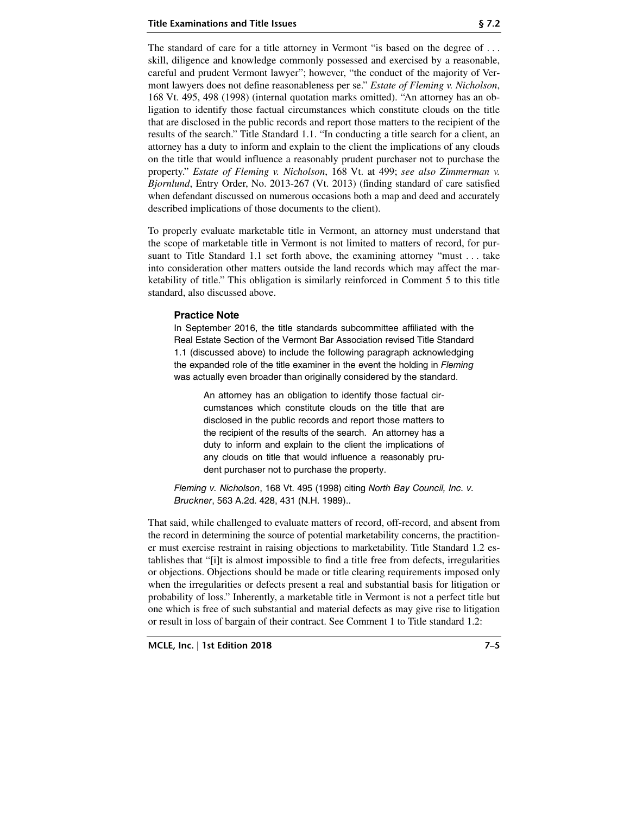The standard of care for a title attorney in Vermont "is based on the degree of . . . skill, diligence and knowledge commonly possessed and exercised by a reasonable, careful and prudent Vermont lawyer"; however, "the conduct of the majority of Vermont lawyers does not define reasonableness per se." *Estate of Fleming v. Nicholson*, 168 Vt. 495, 498 (1998) (internal quotation marks omitted). "An attorney has an obligation to identify those factual circumstances which constitute clouds on the title that are disclosed in the public records and report those matters to the recipient of the results of the search." Title Standard 1.1. "In conducting a title search for a client, an attorney has a duty to inform and explain to the client the implications of any clouds on the title that would influence a reasonably prudent purchaser not to purchase the property." *Estate of Fleming v. Nicholson*, 168 Vt. at 499; *see also Zimmerman v. Bjornlund*, Entry Order, No. 2013-267 (Vt. 2013) (finding standard of care satisfied when defendant discussed on numerous occasions both a map and deed and accurately described implications of those documents to the client).

To properly evaluate marketable title in Vermont, an attorney must understand that the scope of marketable title in Vermont is not limited to matters of record, for pursuant to Title Standard 1.1 set forth above, the examining attorney "must . . . take into consideration other matters outside the land records which may affect the marketability of title." This obligation is similarly reinforced in Comment 5 to this title standard, also discussed above.

#### **Practice Note**

In September 2016, the title standards subcommittee affiliated with the Real Estate Section of the Vermont Bar Association revised Title Standard 1.1 (discussed above) to include the following paragraph acknowledging the expanded role of the title examiner in the event the holding in Fleming was actually even broader than originally considered by the standard.

An attorney has an obligation to identify those factual circumstances which constitute clouds on the title that are disclosed in the public records and report those matters to the recipient of the results of the search. An attorney has a duty to inform and explain to the client the implications of any clouds on title that would influence a reasonably prudent purchaser not to purchase the property.

Fleming v. Nicholson, 168 Vt. 495 (1998) citing North Bay Council, Inc. v. Bruckner, 563 A.2d. 428, 431 (N.H. 1989)..

That said, while challenged to evaluate matters of record, off-record, and absent from the record in determining the source of potential marketability concerns, the practitioner must exercise restraint in raising objections to marketability. Title Standard 1.2 establishes that "[i]t is almost impossible to find a title free from defects, irregularities or objections. Objections should be made or title clearing requirements imposed only when the irregularities or defects present a real and substantial basis for litigation or probability of loss." Inherently, a marketable title in Vermont is not a perfect title but one which is free of such substantial and material defects as may give rise to litigation or result in loss of bargain of their contract. See Comment 1 to Title standard 1.2: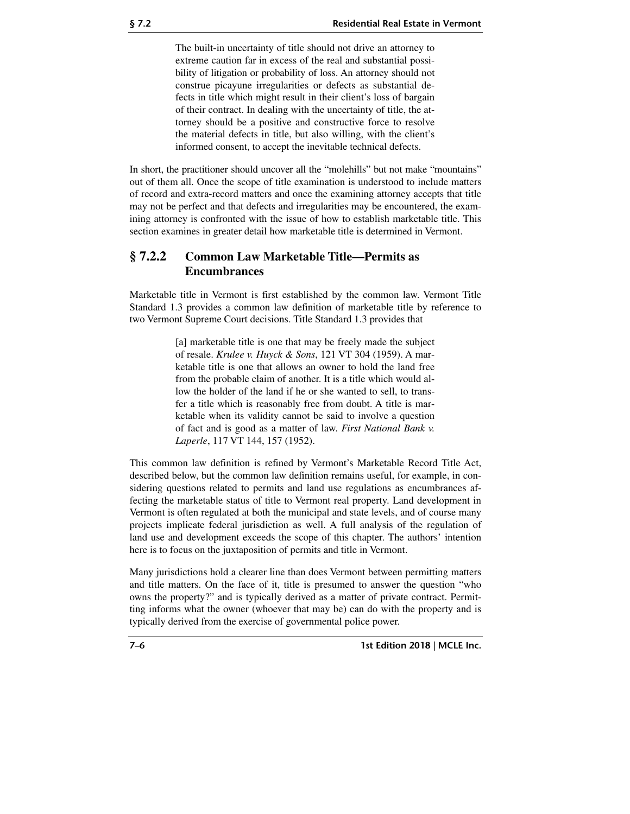The built-in uncertainty of title should not drive an attorney to extreme caution far in excess of the real and substantial possibility of litigation or probability of loss. An attorney should not construe picayune irregularities or defects as substantial defects in title which might result in their client's loss of bargain of their contract. In dealing with the uncertainty of title, the attorney should be a positive and constructive force to resolve the material defects in title, but also willing, with the client's informed consent, to accept the inevitable technical defects.

In short, the practitioner should uncover all the "molehills" but not make "mountains" out of them all. Once the scope of title examination is understood to include matters of record and extra-record matters and once the examining attorney accepts that title may not be perfect and that defects and irregularities may be encountered, the examining attorney is confronted with the issue of how to establish marketable title. This section examines in greater detail how marketable title is determined in Vermont.

## **§ 7.2.2 Common Law Marketable Title—Permits as Encumbrances**

Marketable title in Vermont is first established by the common law. Vermont Title Standard 1.3 provides a common law definition of marketable title by reference to two Vermont Supreme Court decisions. Title Standard 1.3 provides that

> [a] marketable title is one that may be freely made the subject of resale. *Krulee v. Huyck & Sons*, 121 VT 304 (1959). A marketable title is one that allows an owner to hold the land free from the probable claim of another. It is a title which would allow the holder of the land if he or she wanted to sell, to transfer a title which is reasonably free from doubt. A title is marketable when its validity cannot be said to involve a question of fact and is good as a matter of law. *First National Bank v. Laperle*, 117 VT 144, 157 (1952).

This common law definition is refined by Vermont's Marketable Record Title Act, described below, but the common law definition remains useful, for example, in considering questions related to permits and land use regulations as encumbrances affecting the marketable status of title to Vermont real property. Land development in Vermont is often regulated at both the municipal and state levels, and of course many projects implicate federal jurisdiction as well. A full analysis of the regulation of land use and development exceeds the scope of this chapter. The authors' intention here is to focus on the juxtaposition of permits and title in Vermont.

Many jurisdictions hold a clearer line than does Vermont between permitting matters and title matters. On the face of it, title is presumed to answer the question "who owns the property?" and is typically derived as a matter of private contract. Permitting informs what the owner (whoever that may be) can do with the property and is typically derived from the exercise of governmental police power.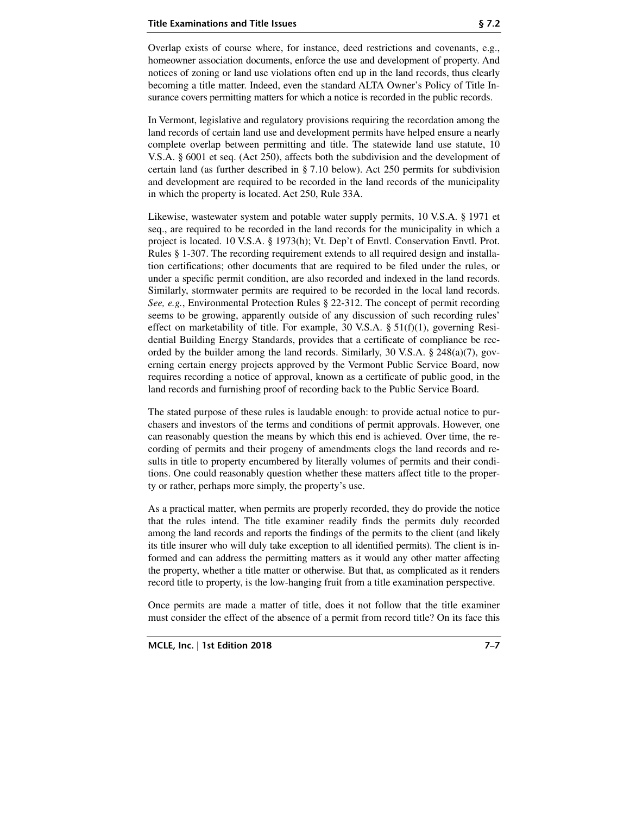Overlap exists of course where, for instance, deed restrictions and covenants, e.g., homeowner association documents, enforce the use and development of property. And notices of zoning or land use violations often end up in the land records, thus clearly becoming a title matter. Indeed, even the standard ALTA Owner's Policy of Title Insurance covers permitting matters for which a notice is recorded in the public records.

In Vermont, legislative and regulatory provisions requiring the recordation among the land records of certain land use and development permits have helped ensure a nearly complete overlap between permitting and title. The statewide land use statute, 10 V.S.A. § 6001 et seq. (Act 250), affects both the subdivision and the development of certain land (as further described in § 7.10 below). Act 250 permits for subdivision and development are required to be recorded in the land records of the municipality in which the property is located. Act 250, Rule 33A.

Likewise, wastewater system and potable water supply permits, 10 V.S.A. § 1971 et seq., are required to be recorded in the land records for the municipality in which a project is located. 10 V.S.A. § 1973(h); Vt. Dep't of Envtl. Conservation Envtl. Prot. Rules § 1-307. The recording requirement extends to all required design and installation certifications; other documents that are required to be filed under the rules, or under a specific permit condition, are also recorded and indexed in the land records. Similarly, stormwater permits are required to be recorded in the local land records. *See, e.g.*, Environmental Protection Rules § 22-312. The concept of permit recording seems to be growing, apparently outside of any discussion of such recording rules' effect on marketability of title. For example, 30 V.S.A.  $\S$  51(f)(1), governing Residential Building Energy Standards, provides that a certificate of compliance be recorded by the builder among the land records. Similarly, 30 V.S.A. § 248(a)(7), governing certain energy projects approved by the Vermont Public Service Board, now requires recording a notice of approval, known as a certificate of public good, in the land records and furnishing proof of recording back to the Public Service Board.

The stated purpose of these rules is laudable enough: to provide actual notice to purchasers and investors of the terms and conditions of permit approvals. However, one can reasonably question the means by which this end is achieved. Over time, the recording of permits and their progeny of amendments clogs the land records and results in title to property encumbered by literally volumes of permits and their conditions. One could reasonably question whether these matters affect title to the property or rather, perhaps more simply, the property's use.

As a practical matter, when permits are properly recorded, they do provide the notice that the rules intend. The title examiner readily finds the permits duly recorded among the land records and reports the findings of the permits to the client (and likely its title insurer who will duly take exception to all identified permits). The client is informed and can address the permitting matters as it would any other matter affecting the property, whether a title matter or otherwise. But that, as complicated as it renders record title to property, is the low-hanging fruit from a title examination perspective.

Once permits are made a matter of title, does it not follow that the title examiner must consider the effect of the absence of a permit from record title? On its face this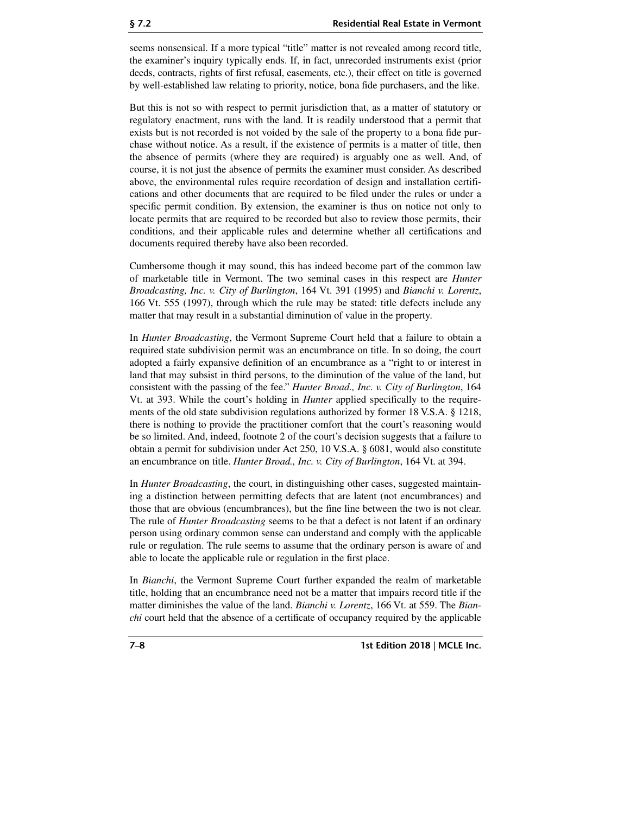seems nonsensical. If a more typical "title" matter is not revealed among record title, the examiner's inquiry typically ends. If, in fact, unrecorded instruments exist (prior deeds, contracts, rights of first refusal, easements, etc.), their effect on title is governed by well-established law relating to priority, notice, bona fide purchasers, and the like.

But this is not so with respect to permit jurisdiction that, as a matter of statutory or regulatory enactment, runs with the land. It is readily understood that a permit that exists but is not recorded is not voided by the sale of the property to a bona fide purchase without notice. As a result, if the existence of permits is a matter of title, then the absence of permits (where they are required) is arguably one as well. And, of course, it is not just the absence of permits the examiner must consider. As described above, the environmental rules require recordation of design and installation certifications and other documents that are required to be filed under the rules or under a specific permit condition. By extension, the examiner is thus on notice not only to locate permits that are required to be recorded but also to review those permits, their conditions, and their applicable rules and determine whether all certifications and documents required thereby have also been recorded.

Cumbersome though it may sound, this has indeed become part of the common law of marketable title in Vermont. The two seminal cases in this respect are *Hunter Broadcasting, Inc. v. City of Burlington*, 164 Vt. 391 (1995) and *Bianchi v. Lorentz*, 166 Vt. 555 (1997), through which the rule may be stated: title defects include any matter that may result in a substantial diminution of value in the property.

In *Hunter Broadcasting*, the Vermont Supreme Court held that a failure to obtain a required state subdivision permit was an encumbrance on title. In so doing, the court adopted a fairly expansive definition of an encumbrance as a "right to or interest in land that may subsist in third persons, to the diminution of the value of the land, but consistent with the passing of the fee." *Hunter Broad., Inc. v. City of Burlington*, 164 Vt. at 393. While the court's holding in *Hunter* applied specifically to the requirements of the old state subdivision regulations authorized by former 18 V.S.A. § 1218, there is nothing to provide the practitioner comfort that the court's reasoning would be so limited. And, indeed, footnote 2 of the court's decision suggests that a failure to obtain a permit for subdivision under Act 250, 10 V.S.A. § 6081, would also constitute an encumbrance on title. *Hunter Broad., Inc. v. City of Burlington*, 164 Vt. at 394.

In *Hunter Broadcasting*, the court, in distinguishing other cases, suggested maintaining a distinction between permitting defects that are latent (not encumbrances) and those that are obvious (encumbrances), but the fine line between the two is not clear. The rule of *Hunter Broadcasting* seems to be that a defect is not latent if an ordinary person using ordinary common sense can understand and comply with the applicable rule or regulation. The rule seems to assume that the ordinary person is aware of and able to locate the applicable rule or regulation in the first place.

In *Bianchi*, the Vermont Supreme Court further expanded the realm of marketable title, holding that an encumbrance need not be a matter that impairs record title if the matter diminishes the value of the land. *Bianchi v. Lorentz*, 166 Vt. at 559. The *Bianchi* court held that the absence of a certificate of occupancy required by the applicable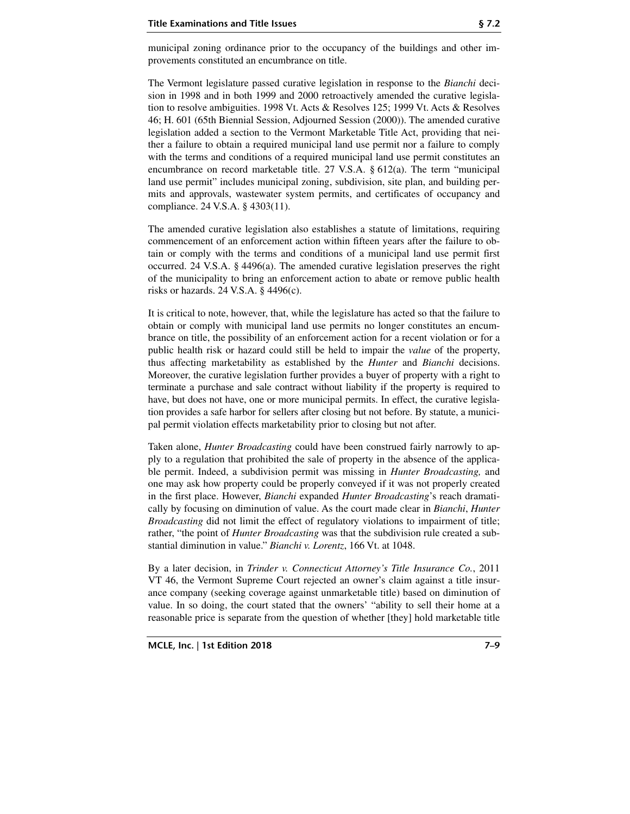The Vermont legislature passed curative legislation in response to the *Bianchi* decision in 1998 and in both 1999 and 2000 retroactively amended the curative legislation to resolve ambiguities. 1998 Vt. Acts & Resolves 125; 1999 Vt. Acts & Resolves 46; H. 601 (65th Biennial Session, Adjourned Session (2000)). The amended curative legislation added a section to the Vermont Marketable Title Act, providing that neither a failure to obtain a required municipal land use permit nor a failure to comply with the terms and conditions of a required municipal land use permit constitutes an encumbrance on record marketable title. 27 V.S.A. § 612(a). The term "municipal land use permit" includes municipal zoning, subdivision, site plan, and building permits and approvals, wastewater system permits, and certificates of occupancy and compliance. 24 V.S.A. § 4303(11).

The amended curative legislation also establishes a statute of limitations, requiring commencement of an enforcement action within fifteen years after the failure to obtain or comply with the terms and conditions of a municipal land use permit first occurred. 24 V.S.A. § 4496(a). The amended curative legislation preserves the right of the municipality to bring an enforcement action to abate or remove public health risks or hazards. 24 V.S.A. § 4496(c).

It is critical to note, however, that, while the legislature has acted so that the failure to obtain or comply with municipal land use permits no longer constitutes an encumbrance on title, the possibility of an enforcement action for a recent violation or for a public health risk or hazard could still be held to impair the *value* of the property, thus affecting marketability as established by the *Hunter* and *Bianchi* decisions. Moreover, the curative legislation further provides a buyer of property with a right to terminate a purchase and sale contract without liability if the property is required to have, but does not have, one or more municipal permits. In effect, the curative legislation provides a safe harbor for sellers after closing but not before. By statute, a municipal permit violation effects marketability prior to closing but not after.

Taken alone, *Hunter Broadcasting* could have been construed fairly narrowly to apply to a regulation that prohibited the sale of property in the absence of the applicable permit. Indeed, a subdivision permit was missing in *Hunter Broadcasting,* and one may ask how property could be properly conveyed if it was not properly created in the first place. However, *Bianchi* expanded *Hunter Broadcasting*'s reach dramatically by focusing on diminution of value. As the court made clear in *Bianchi*, *Hunter Broadcasting* did not limit the effect of regulatory violations to impairment of title; rather, "the point of *Hunter Broadcasting* was that the subdivision rule created a substantial diminution in value." *Bianchi v. Lorentz*, 166 Vt. at 1048.

By a later decision, in *Trinder v. Connecticut Attorney's Title Insurance Co.*, 2011 VT 46, the Vermont Supreme Court rejected an owner's claim against a title insurance company (seeking coverage against unmarketable title) based on diminution of value. In so doing, the court stated that the owners' "ability to sell their home at a reasonable price is separate from the question of whether [they] hold marketable title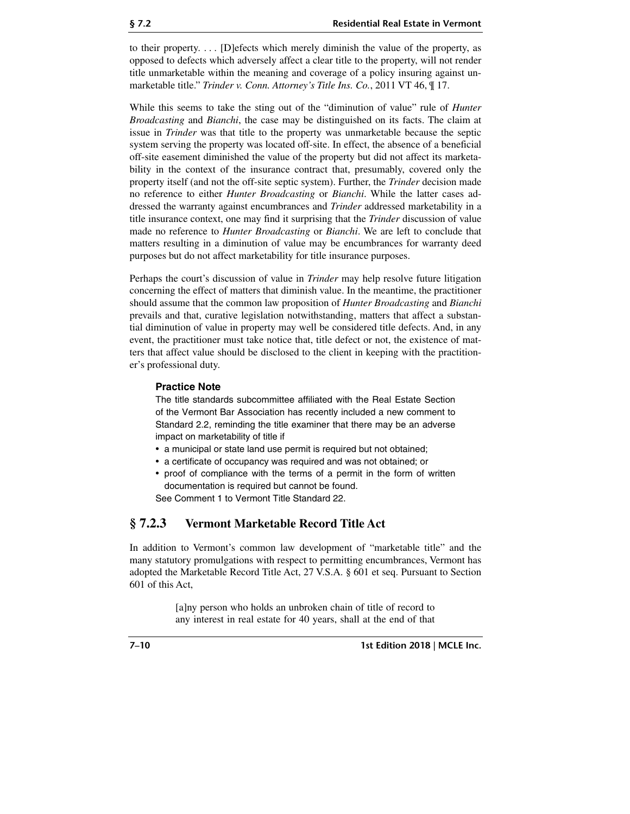to their property. . . . [D]efects which merely diminish the value of the property, as opposed to defects which adversely affect a clear title to the property, will not render title unmarketable within the meaning and coverage of a policy insuring against unmarketable title." *Trinder v. Conn. Attorney's Title Ins. Co.*, 2011 VT 46, ¶ 17.

While this seems to take the sting out of the "diminution of value" rule of *Hunter Broadcasting* and *Bianchi*, the case may be distinguished on its facts. The claim at issue in *Trinder* was that title to the property was unmarketable because the septic system serving the property was located off-site. In effect, the absence of a beneficial off-site easement diminished the value of the property but did not affect its marketability in the context of the insurance contract that, presumably, covered only the property itself (and not the off-site septic system). Further, the *Trinder* decision made no reference to either *Hunter Broadcasting* or *Bianchi*. While the latter cases addressed the warranty against encumbrances and *Trinder* addressed marketability in a title insurance context, one may find it surprising that the *Trinder* discussion of value made no reference to *Hunter Broadcasting* or *Bianchi*. We are left to conclude that matters resulting in a diminution of value may be encumbrances for warranty deed purposes but do not affect marketability for title insurance purposes.

Perhaps the court's discussion of value in *Trinder* may help resolve future litigation concerning the effect of matters that diminish value. In the meantime, the practitioner should assume that the common law proposition of *Hunter Broadcasting* and *Bianchi* prevails and that, curative legislation notwithstanding, matters that affect a substantial diminution of value in property may well be considered title defects. And, in any event, the practitioner must take notice that, title defect or not, the existence of matters that affect value should be disclosed to the client in keeping with the practitioner's professional duty.

#### **Practice Note**

The title standards subcommittee affiliated with the Real Estate Section of the Vermont Bar Association has recently included a new comment to Standard 2.2, reminding the title examiner that there may be an adverse impact on marketability of title if

- a municipal or state land use permit is required but not obtained;
- a certificate of occupancy was required and was not obtained; or
- proof of compliance with the terms of a permit in the form of written documentation is required but cannot be found.

See Comment 1 to Vermont Title Standard 22.

# **§ 7.2.3 Vermont Marketable Record Title Act**

In addition to Vermont's common law development of "marketable title" and the many statutory promulgations with respect to permitting encumbrances, Vermont has adopted the Marketable Record Title Act, 27 V.S.A. § 601 et seq. Pursuant to Section 601 of this Act,

> [a]ny person who holds an unbroken chain of title of record to any interest in real estate for 40 years, shall at the end of that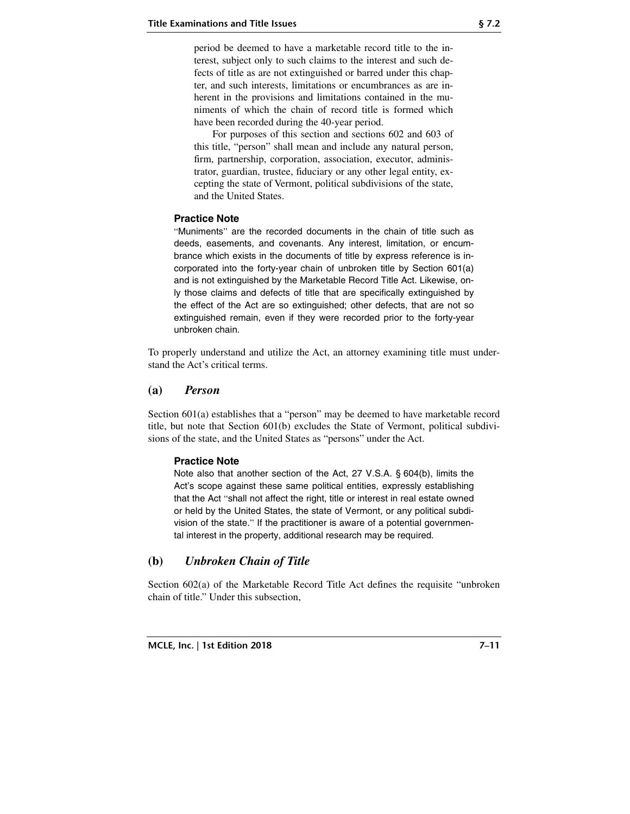period be deemed to have a marketable record title to the interest, subject only to such claims to the interest and such defects of title as are not extinguished or barred under this chapter, and such interests, limitations or encumbrances as are inherent in the provisions and limitations contained in the muniments of which the chain of record title is formed which have been recorded during the 40-year period.

For purposes of this section and sections 602 and 603 of this title, "person" shall mean and include any natural person, firm, partnership, corporation, association, executor, administrator, guardian, trustee, fiduciary or any other legal entity, excepting the state of Vermont, political subdivisions of the state, and the United States.

#### **Practice Note**

"Muniments" are the recorded documents in the chain of title such as deeds, easements, and covenants. Any interest, limitation, or encumbrance which exists in the documents of title by express reference is incorporated into the forty-year chain of unbroken title by Section 601(a) and is not extinguished by the Marketable Record Title Act. Likewise, only those claims and defects of title that are specifically extinguished by the effect of the Act are so extinguished; other defects, that are not so extinguished remain, even if they were recorded prior to the forty-year unbroken chain.

To properly understand and utilize the Act, an attorney examining title must understand the Act's critical terms.

#### **(a)** *Person*

Section 601(a) establishes that a "person" may be deemed to have marketable record title, but note that Section 601(b) excludes the State of Vermont, political subdivisions of the state, and the United States as "persons" under the Act.

#### **Practice Note**

Note also that another section of the Act, 27 V.S.A. § 604(b), limits the Act's scope against these same political entities, expressly establishing that the Act "shall not affect the right, title or interest in real estate owned or held by the United States, the state of Vermont, or any political subdivision of the state." If the practitioner is aware of a potential governmental interest in the property, additional research may be required.

#### **(b)** *Unbroken Chain of Title*

Section 602(a) of the Marketable Record Title Act defines the requisite "unbroken chain of title." Under this subsection,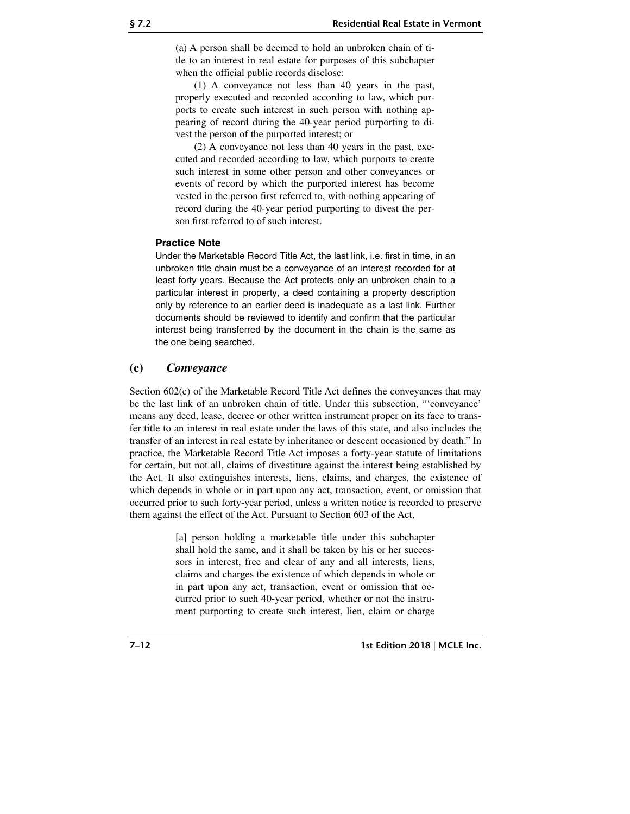(a) A person shall be deemed to hold an unbroken chain of title to an interest in real estate for purposes of this subchapter when the official public records disclose:

(1) A conveyance not less than 40 years in the past, properly executed and recorded according to law, which purports to create such interest in such person with nothing appearing of record during the 40-year period purporting to divest the person of the purported interest; or

(2) A conveyance not less than 40 years in the past, executed and recorded according to law, which purports to create such interest in some other person and other conveyances or events of record by which the purported interest has become vested in the person first referred to, with nothing appearing of record during the 40-year period purporting to divest the person first referred to of such interest.

#### **Practice Note**

Under the Marketable Record Title Act, the last link, i.e. first in time, in an unbroken title chain must be a conveyance of an interest recorded for at least forty years. Because the Act protects only an unbroken chain to a particular interest in property, a deed containing a property description only by reference to an earlier deed is inadequate as a last link. Further documents should be reviewed to identify and confirm that the particular interest being transferred by the document in the chain is the same as the one being searched.

#### **(c)** *Conveyance*

Section 602(c) of the Marketable Record Title Act defines the conveyances that may be the last link of an unbroken chain of title. Under this subsection, "'conveyance' means any deed, lease, decree or other written instrument proper on its face to transfer title to an interest in real estate under the laws of this state, and also includes the transfer of an interest in real estate by inheritance or descent occasioned by death." In practice, the Marketable Record Title Act imposes a forty-year statute of limitations for certain, but not all, claims of divestiture against the interest being established by the Act. It also extinguishes interests, liens, claims, and charges, the existence of which depends in whole or in part upon any act, transaction, event, or omission that occurred prior to such forty-year period, unless a written notice is recorded to preserve them against the effect of the Act. Pursuant to Section 603 of the Act,

> [a] person holding a marketable title under this subchapter shall hold the same, and it shall be taken by his or her successors in interest, free and clear of any and all interests, liens, claims and charges the existence of which depends in whole or in part upon any act, transaction, event or omission that occurred prior to such 40-year period, whether or not the instrument purporting to create such interest, lien, claim or charge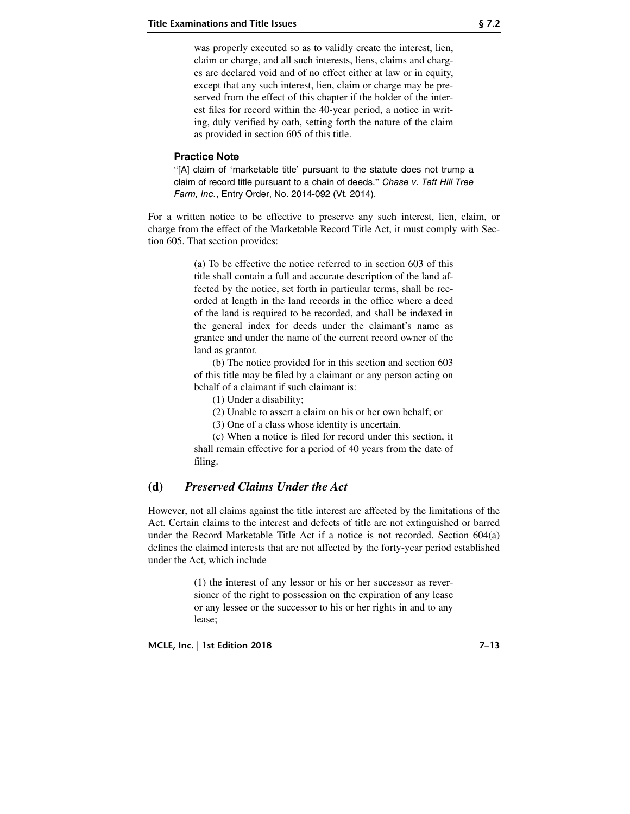was properly executed so as to validly create the interest, lien, claim or charge, and all such interests, liens, claims and charges are declared void and of no effect either at law or in equity, except that any such interest, lien, claim or charge may be preserved from the effect of this chapter if the holder of the interest files for record within the 40-year period, a notice in writing, duly verified by oath, setting forth the nature of the claim as provided in section 605 of this title.

#### **Practice Note**

"[A] claim of 'marketable title' pursuant to the statute does not trump a claim of record title pursuant to a chain of deeds." Chase v. Taft Hill Tree Farm, Inc., Entry Order, No. 2014-092 (Vt. 2014).

For a written notice to be effective to preserve any such interest, lien, claim, or charge from the effect of the Marketable Record Title Act, it must comply with Section 605. That section provides:

> (a) To be effective the notice referred to in section 603 of this title shall contain a full and accurate description of the land affected by the notice, set forth in particular terms, shall be recorded at length in the land records in the office where a deed of the land is required to be recorded, and shall be indexed in the general index for deeds under the claimant's name as grantee and under the name of the current record owner of the land as grantor.

> (b) The notice provided for in this section and section 603 of this title may be filed by a claimant or any person acting on behalf of a claimant if such claimant is:

(1) Under a disability;

(2) Unable to assert a claim on his or her own behalf; or

(3) One of a class whose identity is uncertain.

(c) When a notice is filed for record under this section, it shall remain effective for a period of 40 years from the date of filing.

#### **(d)** *Preserved Claims Under the Act*

However, not all claims against the title interest are affected by the limitations of the Act. Certain claims to the interest and defects of title are not extinguished or barred under the Record Marketable Title Act if a notice is not recorded. Section 604(a) defines the claimed interests that are not affected by the forty-year period established under the Act, which include

> (1) the interest of any lessor or his or her successor as reversioner of the right to possession on the expiration of any lease or any lessee or the successor to his or her rights in and to any lease;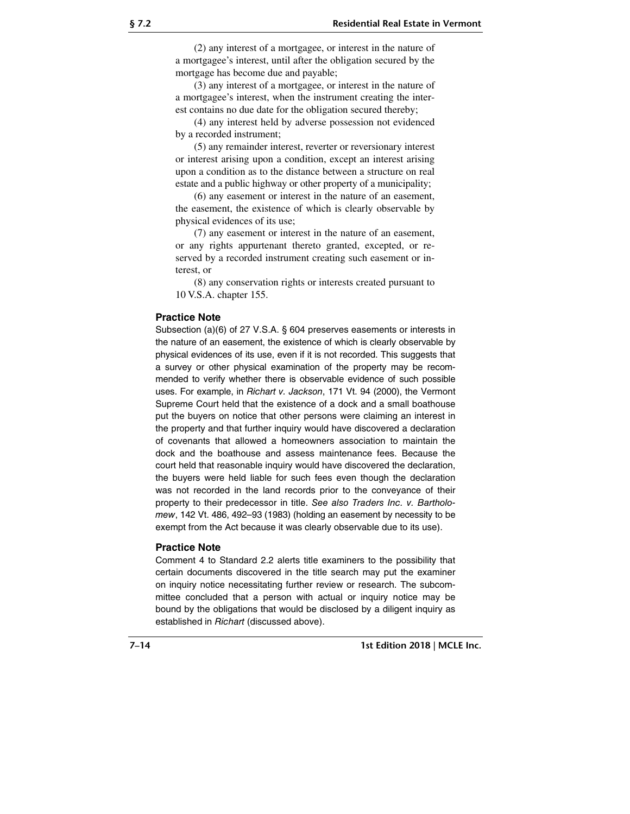(2) any interest of a mortgagee, or interest in the nature of a mortgagee's interest, until after the obligation secured by the mortgage has become due and payable;

(3) any interest of a mortgagee, or interest in the nature of a mortgagee's interest, when the instrument creating the interest contains no due date for the obligation secured thereby;

(4) any interest held by adverse possession not evidenced by a recorded instrument;

(5) any remainder interest, reverter or reversionary interest or interest arising upon a condition, except an interest arising upon a condition as to the distance between a structure on real estate and a public highway or other property of a municipality;

(6) any easement or interest in the nature of an easement, the easement, the existence of which is clearly observable by physical evidences of its use;

(7) any easement or interest in the nature of an easement, or any rights appurtenant thereto granted, excepted, or reserved by a recorded instrument creating such easement or interest, or

(8) any conservation rights or interests created pursuant to 10 V.S.A. chapter 155.

#### **Practice Note**

Subsection (a)(6) of 27 V.S.A. § 604 preserves easements or interests in the nature of an easement, the existence of which is clearly observable by physical evidences of its use, even if it is not recorded. This suggests that a survey or other physical examination of the property may be recommended to verify whether there is observable evidence of such possible uses. For example, in Richart v. Jackson, 171 Vt. 94 (2000), the Vermont Supreme Court held that the existence of a dock and a small boathouse put the buyers on notice that other persons were claiming an interest in the property and that further inquiry would have discovered a declaration of covenants that allowed a homeowners association to maintain the dock and the boathouse and assess maintenance fees. Because the court held that reasonable inquiry would have discovered the declaration, the buyers were held liable for such fees even though the declaration was not recorded in the land records prior to the conveyance of their property to their predecessor in title. See also Traders Inc. v. Bartholomew, 142 Vt. 486, 492–93 (1983) (holding an easement by necessity to be exempt from the Act because it was clearly observable due to its use).

#### **Practice Note**

Comment 4 to Standard 2.2 alerts title examiners to the possibility that certain documents discovered in the title search may put the examiner on inquiry notice necessitating further review or research. The subcommittee concluded that a person with actual or inquiry notice may be bound by the obligations that would be disclosed by a diligent inquiry as established in Richart (discussed above).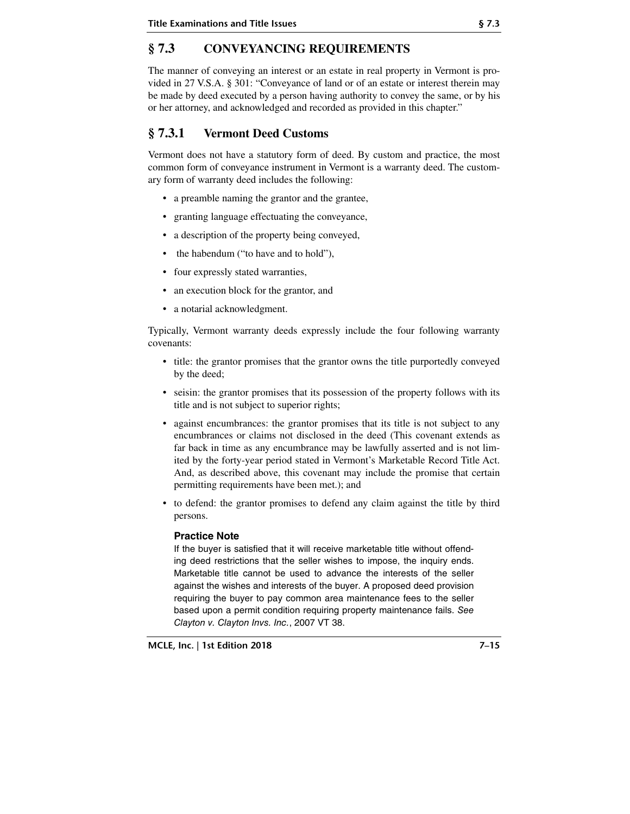# **§ 7.3 CONVEYANCING REQUIREMENTS**

The manner of conveying an interest or an estate in real property in Vermont is provided in 27 V.S.A. § 301: "Conveyance of land or of an estate or interest therein may be made by deed executed by a person having authority to convey the same, or by his or her attorney, and acknowledged and recorded as provided in this chapter."

# **§ 7.3.1 Vermont Deed Customs**

Vermont does not have a statutory form of deed. By custom and practice, the most common form of conveyance instrument in Vermont is a warranty deed. The customary form of warranty deed includes the following:

- a preamble naming the grantor and the grantee,
- granting language effectuating the conveyance,
- a description of the property being conveyed,
- the habendum ("to have and to hold"),
- four expressly stated warranties,
- an execution block for the grantor, and
- a notarial acknowledgment.

Typically, Vermont warranty deeds expressly include the four following warranty covenants:

- title: the grantor promises that the grantor owns the title purportedly conveyed by the deed;
- seisin: the grantor promises that its possession of the property follows with its title and is not subject to superior rights;
- against encumbrances: the grantor promises that its title is not subject to any encumbrances or claims not disclosed in the deed (This covenant extends as far back in time as any encumbrance may be lawfully asserted and is not limited by the forty-year period stated in Vermont's Marketable Record Title Act. And, as described above, this covenant may include the promise that certain permitting requirements have been met.); and
- to defend: the grantor promises to defend any claim against the title by third persons.

#### **Practice Note**

If the buyer is satisfied that it will receive marketable title without offending deed restrictions that the seller wishes to impose, the inquiry ends. Marketable title cannot be used to advance the interests of the seller against the wishes and interests of the buyer. A proposed deed provision requiring the buyer to pay common area maintenance fees to the seller based upon a permit condition requiring property maintenance fails. See Clayton v. Clayton Invs. Inc., 2007 VT 38.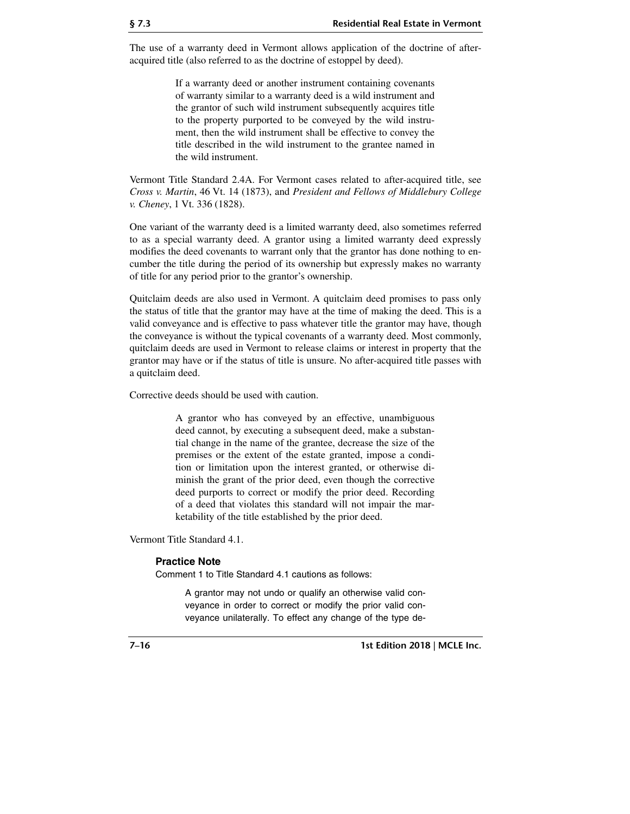The use of a warranty deed in Vermont allows application of the doctrine of afteracquired title (also referred to as the doctrine of estoppel by deed).

> If a warranty deed or another instrument containing covenants of warranty similar to a warranty deed is a wild instrument and the grantor of such wild instrument subsequently acquires title to the property purported to be conveyed by the wild instrument, then the wild instrument shall be effective to convey the title described in the wild instrument to the grantee named in the wild instrument.

Vermont Title Standard 2.4A. For Vermont cases related to after-acquired title, see *Cross v. Martin*, 46 Vt. 14 (1873), and *President and Fellows of Middlebury College v. Cheney*, 1 Vt. 336 (1828).

One variant of the warranty deed is a limited warranty deed, also sometimes referred to as a special warranty deed. A grantor using a limited warranty deed expressly modifies the deed covenants to warrant only that the grantor has done nothing to encumber the title during the period of its ownership but expressly makes no warranty of title for any period prior to the grantor's ownership.

Quitclaim deeds are also used in Vermont. A quitclaim deed promises to pass only the status of title that the grantor may have at the time of making the deed. This is a valid conveyance and is effective to pass whatever title the grantor may have, though the conveyance is without the typical covenants of a warranty deed. Most commonly, quitclaim deeds are used in Vermont to release claims or interest in property that the grantor may have or if the status of title is unsure. No after-acquired title passes with a quitclaim deed.

Corrective deeds should be used with caution.

A grantor who has conveyed by an effective, unambiguous deed cannot, by executing a subsequent deed, make a substantial change in the name of the grantee, decrease the size of the premises or the extent of the estate granted, impose a condition or limitation upon the interest granted, or otherwise diminish the grant of the prior deed, even though the corrective deed purports to correct or modify the prior deed. Recording of a deed that violates this standard will not impair the marketability of the title established by the prior deed.

Vermont Title Standard 4.1.

#### **Practice Note**

Comment 1 to Title Standard 4.1 cautions as follows:

A grantor may not undo or qualify an otherwise valid conveyance in order to correct or modify the prior valid conveyance unilaterally. To effect any change of the type de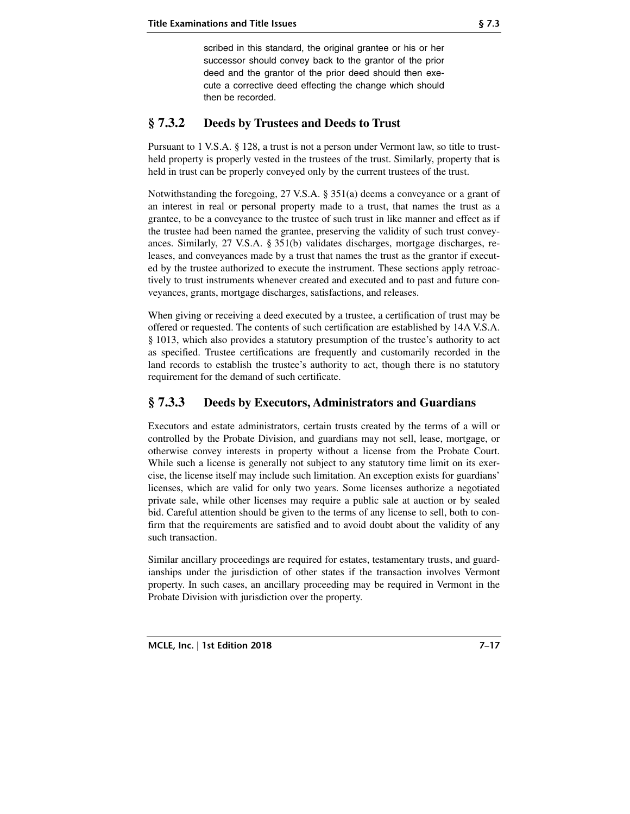scribed in this standard, the original grantee or his or her successor should convey back to the grantor of the prior deed and the grantor of the prior deed should then execute a corrective deed effecting the change which should then be recorded.

## **§ 7.3.2 Deeds by Trustees and Deeds to Trust**

Pursuant to 1 V.S.A. § 128, a trust is not a person under Vermont law, so title to trustheld property is properly vested in the trustees of the trust. Similarly, property that is held in trust can be properly conveyed only by the current trustees of the trust.

Notwithstanding the foregoing, 27 V.S.A. § 351(a) deems a conveyance or a grant of an interest in real or personal property made to a trust, that names the trust as a grantee, to be a conveyance to the trustee of such trust in like manner and effect as if the trustee had been named the grantee, preserving the validity of such trust conveyances. Similarly, 27 V.S.A. § 351(b) validates discharges, mortgage discharges, releases, and conveyances made by a trust that names the trust as the grantor if executed by the trustee authorized to execute the instrument. These sections apply retroactively to trust instruments whenever created and executed and to past and future conveyances, grants, mortgage discharges, satisfactions, and releases.

When giving or receiving a deed executed by a trustee, a certification of trust may be offered or requested. The contents of such certification are established by 14A V.S.A. § 1013, which also provides a statutory presumption of the trustee's authority to act as specified. Trustee certifications are frequently and customarily recorded in the land records to establish the trustee's authority to act, though there is no statutory requirement for the demand of such certificate.

## **§ 7.3.3 Deeds by Executors, Administrators and Guardians**

Executors and estate administrators, certain trusts created by the terms of a will or controlled by the Probate Division, and guardians may not sell, lease, mortgage, or otherwise convey interests in property without a license from the Probate Court. While such a license is generally not subject to any statutory time limit on its exercise, the license itself may include such limitation. An exception exists for guardians' licenses, which are valid for only two years. Some licenses authorize a negotiated private sale, while other licenses may require a public sale at auction or by sealed bid. Careful attention should be given to the terms of any license to sell, both to confirm that the requirements are satisfied and to avoid doubt about the validity of any such transaction.

Similar ancillary proceedings are required for estates, testamentary trusts, and guardianships under the jurisdiction of other states if the transaction involves Vermont property. In such cases, an ancillary proceeding may be required in Vermont in the Probate Division with jurisdiction over the property.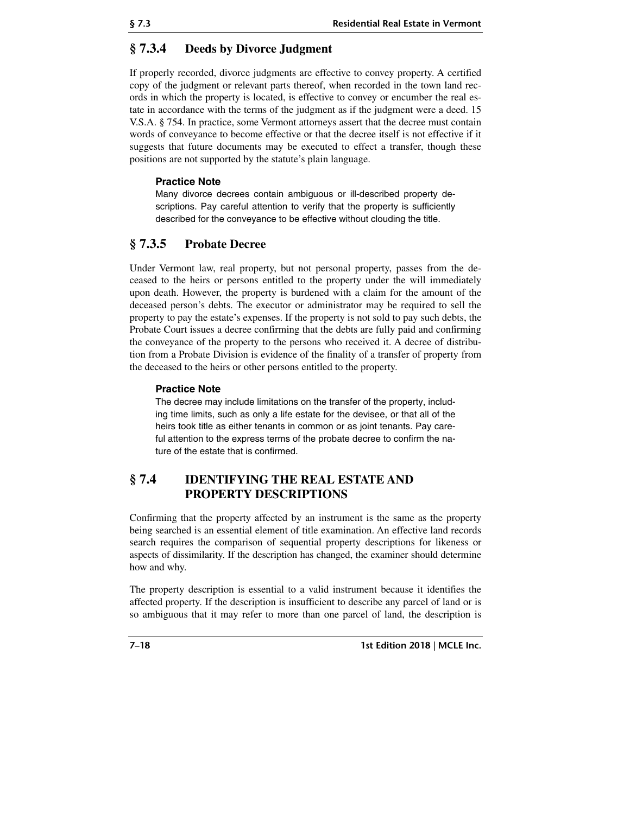## **§ 7.3.4 Deeds by Divorce Judgment**

If properly recorded, divorce judgments are effective to convey property. A certified copy of the judgment or relevant parts thereof, when recorded in the town land records in which the property is located, is effective to convey or encumber the real estate in accordance with the terms of the judgment as if the judgment were a deed. 15 V.S.A. § 754. In practice, some Vermont attorneys assert that the decree must contain words of conveyance to become effective or that the decree itself is not effective if it suggests that future documents may be executed to effect a transfer, though these positions are not supported by the statute's plain language.

#### **Practice Note**

Many divorce decrees contain ambiguous or ill-described property descriptions. Pay careful attention to verify that the property is sufficiently described for the conveyance to be effective without clouding the title.

## **§ 7.3.5 Probate Decree**

Under Vermont law, real property, but not personal property, passes from the deceased to the heirs or persons entitled to the property under the will immediately upon death. However, the property is burdened with a claim for the amount of the deceased person's debts. The executor or administrator may be required to sell the property to pay the estate's expenses. If the property is not sold to pay such debts, the Probate Court issues a decree confirming that the debts are fully paid and confirming the conveyance of the property to the persons who received it. A decree of distribution from a Probate Division is evidence of the finality of a transfer of property from the deceased to the heirs or other persons entitled to the property.

#### **Practice Note**

The decree may include limitations on the transfer of the property, including time limits, such as only a life estate for the devisee, or that all of the heirs took title as either tenants in common or as joint tenants. Pay careful attention to the express terms of the probate decree to confirm the nature of the estate that is confirmed.

## **§ 7.4 IDENTIFYING THE REAL ESTATE AND PROPERTY DESCRIPTIONS**

Confirming that the property affected by an instrument is the same as the property being searched is an essential element of title examination. An effective land records search requires the comparison of sequential property descriptions for likeness or aspects of dissimilarity. If the description has changed, the examiner should determine how and why.

The property description is essential to a valid instrument because it identifies the affected property. If the description is insufficient to describe any parcel of land or is so ambiguous that it may refer to more than one parcel of land, the description is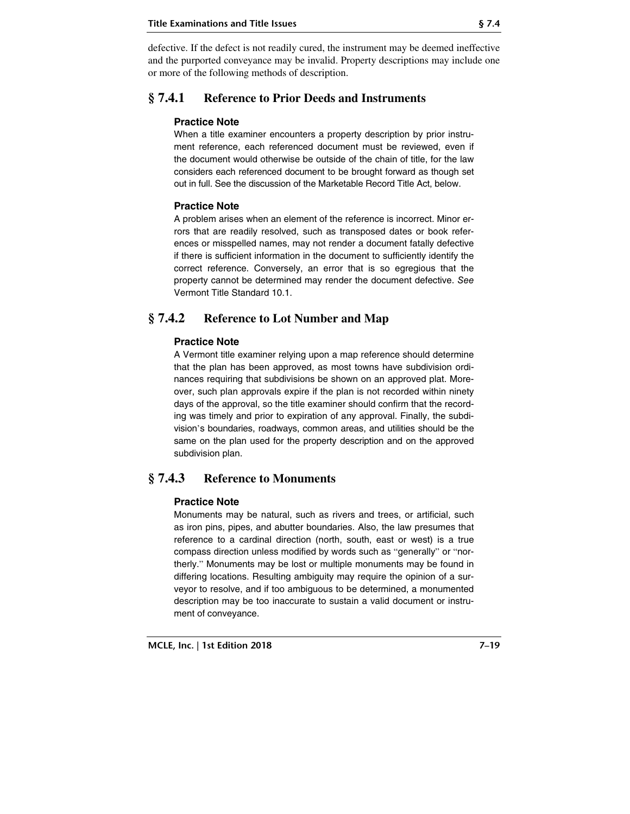defective. If the defect is not readily cured, the instrument may be deemed ineffective and the purported conveyance may be invalid. Property descriptions may include one or more of the following methods of description.

## **§ 7.4.1 Reference to Prior Deeds and Instruments**

#### **Practice Note**

When a title examiner encounters a property description by prior instrument reference, each referenced document must be reviewed, even if the document would otherwise be outside of the chain of title, for the law considers each referenced document to be brought forward as though set out in full. See the discussion of the Marketable Record Title Act, below.

#### **Practice Note**

A problem arises when an element of the reference is incorrect. Minor errors that are readily resolved, such as transposed dates or book references or misspelled names, may not render a document fatally defective if there is sufficient information in the document to sufficiently identify the correct reference. Conversely, an error that is so egregious that the property cannot be determined may render the document defective. See Vermont Title Standard 10.1.

## **§ 7.4.2 Reference to Lot Number and Map**

#### **Practice Note**

A Vermont title examiner relying upon a map reference should determine that the plan has been approved, as most towns have subdivision ordinances requiring that subdivisions be shown on an approved plat. Moreover, such plan approvals expire if the plan is not recorded within ninety days of the approval, so the title examiner should confirm that the recording was timely and prior to expiration of any approval. Finally, the subdivision's boundaries, roadways, common areas, and utilities should be the same on the plan used for the property description and on the approved subdivision plan.

## **§ 7.4.3 Reference to Monuments**

#### **Practice Note**

Monuments may be natural, such as rivers and trees, or artificial, such as iron pins, pipes, and abutter boundaries. Also, the law presumes that reference to a cardinal direction (north, south, east or west) is a true compass direction unless modified by words such as "generally" or "northerly." Monuments may be lost or multiple monuments may be found in differing locations. Resulting ambiguity may require the opinion of a surveyor to resolve, and if too ambiguous to be determined, a monumented description may be too inaccurate to sustain a valid document or instrument of conveyance.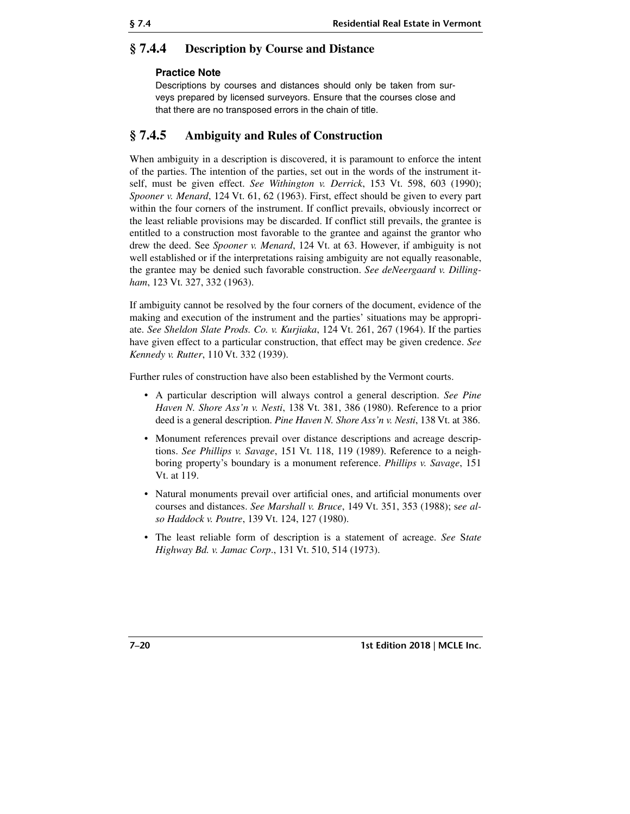## **§ 7.4.4 Description by Course and Distance**

#### **Practice Note**

Descriptions by courses and distances should only be taken from surveys prepared by licensed surveyors. Ensure that the courses close and that there are no transposed errors in the chain of title.

## **§ 7.4.5 Ambiguity and Rules of Construction**

When ambiguity in a description is discovered, it is paramount to enforce the intent of the parties. The intention of the parties, set out in the words of the instrument itself, must be given effect. *See Withington v. Derrick*, 153 Vt. 598, 603 (1990); *Spooner v. Menard*, 124 Vt. 61, 62 (1963). First, effect should be given to every part within the four corners of the instrument. If conflict prevails, obviously incorrect or the least reliable provisions may be discarded. If conflict still prevails, the grantee is entitled to a construction most favorable to the grantee and against the grantor who drew the deed. See *Spooner v. Menard*, 124 Vt. at 63. However, if ambiguity is not well established or if the interpretations raising ambiguity are not equally reasonable, the grantee may be denied such favorable construction. *See deNeergaard v. Dillingham*, 123 Vt. 327, 332 (1963).

If ambiguity cannot be resolved by the four corners of the document, evidence of the making and execution of the instrument and the parties' situations may be appropriate. *See Sheldon Slate Prods. Co. v. Kurjiaka*, 124 Vt. 261, 267 (1964). If the parties have given effect to a particular construction, that effect may be given credence. *See Kennedy v. Rutter*, 110 Vt. 332 (1939).

Further rules of construction have also been established by the Vermont courts.

- A particular description will always control a general description. *See Pine Haven N. Shore Ass'n v. Nesti*, 138 Vt. 381, 386 (1980). Reference to a prior deed is a general description. *Pine Haven N. Shore Ass'n v. Nesti*, 138 Vt. at 386.
- Monument references prevail over distance descriptions and acreage descriptions. *See Phillips v. Savage*, 151 Vt. 118, 119 (1989). Reference to a neighboring property's boundary is a monument reference. *Phillips v. Savage*, 151 Vt. at 119.
- Natural monuments prevail over artificial ones, and artificial monuments over courses and distances. *See Marshall v. Bruce*, 149 Vt. 351, 353 (1988); s*ee also Haddock v. Poutre*, 139 Vt. 124, 127 (1980).
- The least reliable form of description is a statement of acreage. *See* S*tate Highway Bd. v. Jamac Corp*., 131 Vt. 510, 514 (1973).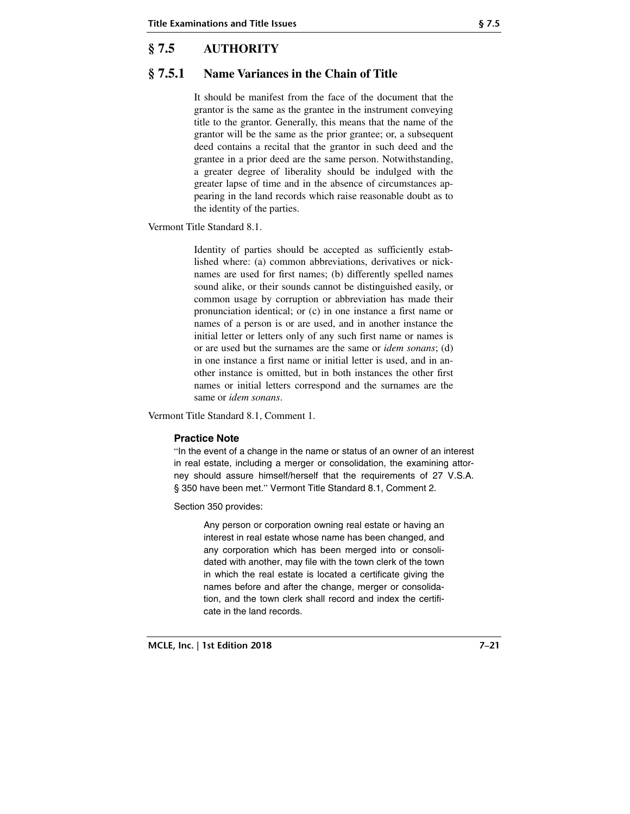# **§ 7.5 AUTHORITY**

## **§ 7.5.1 Name Variances in the Chain of Title**

It should be manifest from the face of the document that the grantor is the same as the grantee in the instrument conveying title to the grantor. Generally, this means that the name of the grantor will be the same as the prior grantee; or, a subsequent deed contains a recital that the grantor in such deed and the grantee in a prior deed are the same person. Notwithstanding, a greater degree of liberality should be indulged with the greater lapse of time and in the absence of circumstances appearing in the land records which raise reasonable doubt as to the identity of the parties.

Vermont Title Standard 8.1.

Identity of parties should be accepted as sufficiently established where: (a) common abbreviations, derivatives or nicknames are used for first names; (b) differently spelled names sound alike, or their sounds cannot be distinguished easily, or common usage by corruption or abbreviation has made their pronunciation identical; or (c) in one instance a first name or names of a person is or are used, and in another instance the initial letter or letters only of any such first name or names is or are used but the surnames are the same or *idem sonans*; (d) in one instance a first name or initial letter is used, and in another instance is omitted, but in both instances the other first names or initial letters correspond and the surnames are the same or *idem sonans*.

Vermont Title Standard 8.1, Comment 1.

#### **Practice Note**

"In the event of a change in the name or status of an owner of an interest in real estate, including a merger or consolidation, the examining attorney should assure himself/herself that the requirements of 27 V.S.A. § 350 have been met." Vermont Title Standard 8.1, Comment 2.

Section 350 provides:

Any person or corporation owning real estate or having an interest in real estate whose name has been changed, and any corporation which has been merged into or consolidated with another, may file with the town clerk of the town in which the real estate is located a certificate giving the names before and after the change, merger or consolidation, and the town clerk shall record and index the certificate in the land records.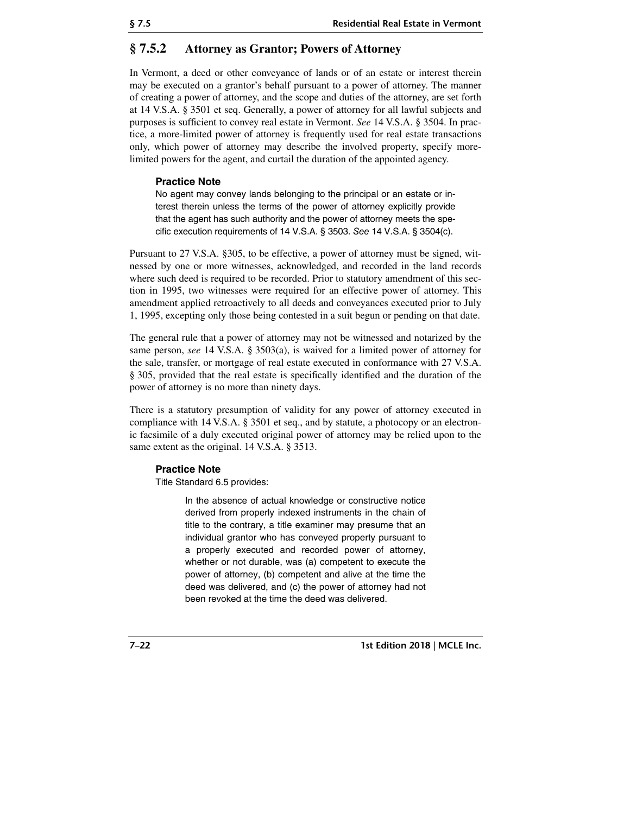## **§ 7.5.2 Attorney as Grantor; Powers of Attorney**

In Vermont, a deed or other conveyance of lands or of an estate or interest therein may be executed on a grantor's behalf pursuant to a power of attorney. The manner of creating a power of attorney, and the scope and duties of the attorney, are set forth at 14 V.S.A. § 3501 et seq. Generally, a power of attorney for all lawful subjects and purposes is sufficient to convey real estate in Vermont. *See* 14 V.S.A. § 3504. In practice, a more-limited power of attorney is frequently used for real estate transactions only, which power of attorney may describe the involved property, specify morelimited powers for the agent, and curtail the duration of the appointed agency.

#### **Practice Note**

No agent may convey lands belonging to the principal or an estate or interest therein unless the terms of the power of attorney explicitly provide that the agent has such authority and the power of attorney meets the specific execution requirements of 14 V.S.A. § 3503. See 14 V.S.A. § 3504(c).

Pursuant to 27 V.S.A. §305, to be effective, a power of attorney must be signed, witnessed by one or more witnesses, acknowledged, and recorded in the land records where such deed is required to be recorded. Prior to statutory amendment of this section in 1995, two witnesses were required for an effective power of attorney. This amendment applied retroactively to all deeds and conveyances executed prior to July 1, 1995, excepting only those being contested in a suit begun or pending on that date.

The general rule that a power of attorney may not be witnessed and notarized by the same person, *see* 14 V.S.A. § 3503(a), is waived for a limited power of attorney for the sale, transfer, or mortgage of real estate executed in conformance with 27 V.S.A. § 305, provided that the real estate is specifically identified and the duration of the power of attorney is no more than ninety days.

There is a statutory presumption of validity for any power of attorney executed in compliance with 14 V.S.A. § 3501 et seq., and by statute, a photocopy or an electronic facsimile of a duly executed original power of attorney may be relied upon to the same extent as the original. 14 V.S.A. § 3513.

#### **Practice Note**

Title Standard 6.5 provides:

In the absence of actual knowledge or constructive notice derived from properly indexed instruments in the chain of title to the contrary, a title examiner may presume that an individual grantor who has conveyed property pursuant to a properly executed and recorded power of attorney, whether or not durable, was (a) competent to execute the power of attorney, (b) competent and alive at the time the deed was delivered, and (c) the power of attorney had not been revoked at the time the deed was delivered.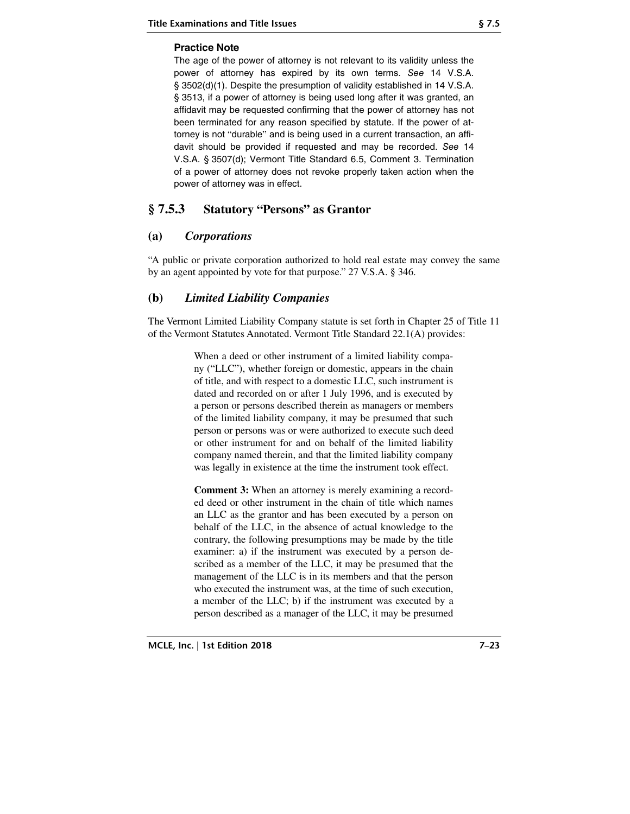#### **Practice Note**

The age of the power of attorney is not relevant to its validity unless the power of attorney has expired by its own terms. See 14 V.S.A. § 3502(d)(1). Despite the presumption of validity established in 14 V.S.A. § 3513, if a power of attorney is being used long after it was granted, an affidavit may be requested confirming that the power of attorney has not been terminated for any reason specified by statute. If the power of attorney is not "durable" and is being used in a current transaction, an affidavit should be provided if requested and may be recorded. See 14 V.S.A. § 3507(d); Vermont Title Standard 6.5, Comment 3. Termination of a power of attorney does not revoke properly taken action when the power of attorney was in effect.

## **§ 7.5.3 Statutory "Persons" as Grantor**

## **(a)** *Corporations*

"A public or private corporation authorized to hold real estate may convey the same by an agent appointed by vote for that purpose." 27 V.S.A. § 346.

## **(b)** *Limited Liability Companies*

The Vermont Limited Liability Company statute is set forth in Chapter 25 of Title 11 of the Vermont Statutes Annotated. Vermont Title Standard 22.1(A) provides:

> When a deed or other instrument of a limited liability company ("LLC"), whether foreign or domestic, appears in the chain of title, and with respect to a domestic LLC, such instrument is dated and recorded on or after 1 July 1996, and is executed by a person or persons described therein as managers or members of the limited liability company, it may be presumed that such person or persons was or were authorized to execute such deed or other instrument for and on behalf of the limited liability company named therein, and that the limited liability company was legally in existence at the time the instrument took effect.

> **Comment 3:** When an attorney is merely examining a recorded deed or other instrument in the chain of title which names an LLC as the grantor and has been executed by a person on behalf of the LLC, in the absence of actual knowledge to the contrary, the following presumptions may be made by the title examiner: a) if the instrument was executed by a person described as a member of the LLC, it may be presumed that the management of the LLC is in its members and that the person who executed the instrument was, at the time of such execution, a member of the LLC; b) if the instrument was executed by a person described as a manager of the LLC, it may be presumed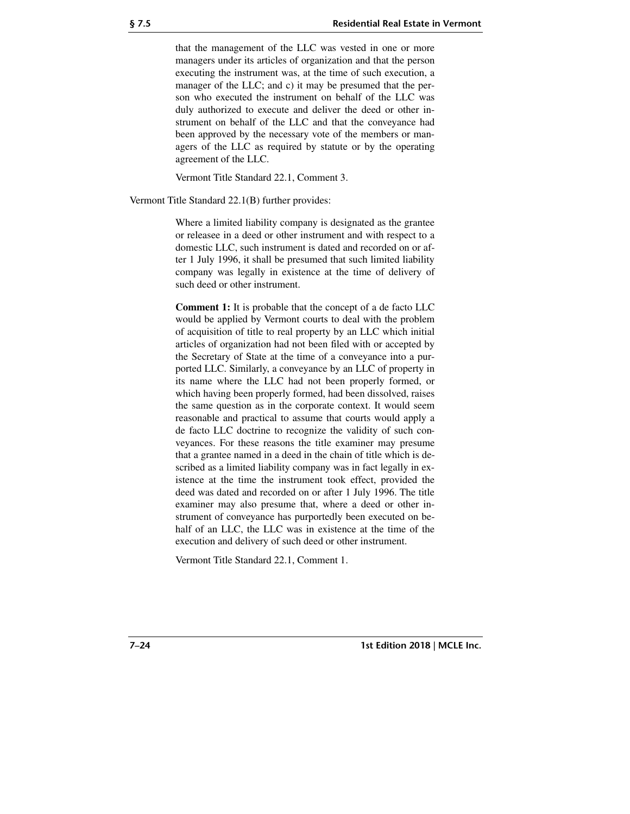that the management of the LLC was vested in one or more managers under its articles of organization and that the person executing the instrument was, at the time of such execution, a manager of the LLC; and c) it may be presumed that the person who executed the instrument on behalf of the LLC was duly authorized to execute and deliver the deed or other instrument on behalf of the LLC and that the conveyance had been approved by the necessary vote of the members or managers of the LLC as required by statute or by the operating agreement of the LLC.

Vermont Title Standard 22.1, Comment 3.

Vermont Title Standard 22.1(B) further provides:

Where a limited liability company is designated as the grantee or releasee in a deed or other instrument and with respect to a domestic LLC, such instrument is dated and recorded on or after 1 July 1996, it shall be presumed that such limited liability company was legally in existence at the time of delivery of such deed or other instrument.

**Comment 1:** It is probable that the concept of a de facto LLC would be applied by Vermont courts to deal with the problem of acquisition of title to real property by an LLC which initial articles of organization had not been filed with or accepted by the Secretary of State at the time of a conveyance into a purported LLC. Similarly, a conveyance by an LLC of property in its name where the LLC had not been properly formed, or which having been properly formed, had been dissolved, raises the same question as in the corporate context. It would seem reasonable and practical to assume that courts would apply a de facto LLC doctrine to recognize the validity of such conveyances. For these reasons the title examiner may presume that a grantee named in a deed in the chain of title which is described as a limited liability company was in fact legally in existence at the time the instrument took effect, provided the deed was dated and recorded on or after 1 July 1996. The title examiner may also presume that, where a deed or other instrument of conveyance has purportedly been executed on behalf of an LLC, the LLC was in existence at the time of the execution and delivery of such deed or other instrument.

Vermont Title Standard 22.1, Comment 1.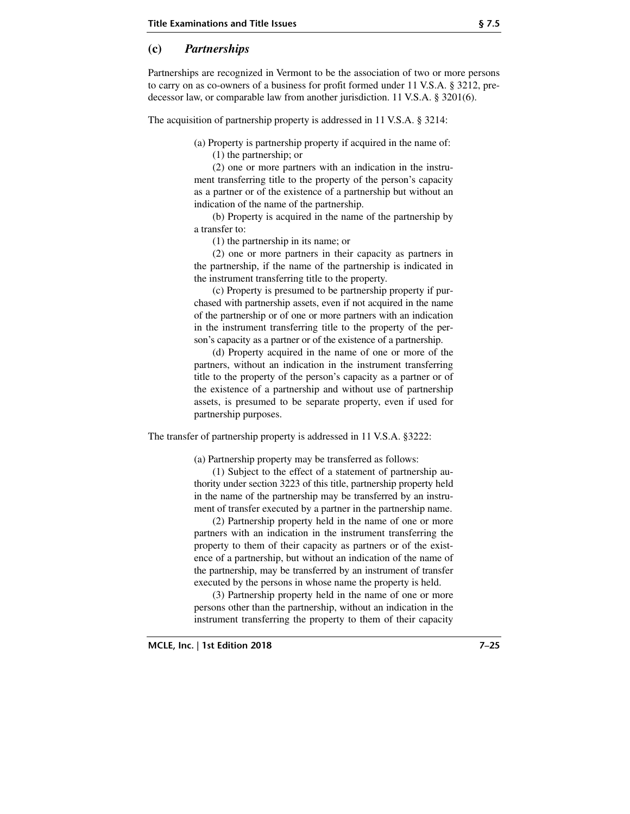#### **(c)** *Partnerships*

Partnerships are recognized in Vermont to be the association of two or more persons to carry on as co-owners of a business for profit formed under 11 V.S.A. § 3212, predecessor law, or comparable law from another jurisdiction. 11 V.S.A. § 3201(6).

The acquisition of partnership property is addressed in 11 V.S.A. § 3214:

(a) Property is partnership property if acquired in the name of:

(1) the partnership; or

(2) one or more partners with an indication in the instrument transferring title to the property of the person's capacity as a partner or of the existence of a partnership but without an indication of the name of the partnership.

(b) Property is acquired in the name of the partnership by a transfer to:

(1) the partnership in its name; or

(2) one or more partners in their capacity as partners in the partnership, if the name of the partnership is indicated in the instrument transferring title to the property.

(c) Property is presumed to be partnership property if purchased with partnership assets, even if not acquired in the name of the partnership or of one or more partners with an indication in the instrument transferring title to the property of the person's capacity as a partner or of the existence of a partnership.

(d) Property acquired in the name of one or more of the partners, without an indication in the instrument transferring title to the property of the person's capacity as a partner or of the existence of a partnership and without use of partnership assets, is presumed to be separate property, even if used for partnership purposes.

The transfer of partnership property is addressed in 11 V.S.A. §3222:

(a) Partnership property may be transferred as follows:

(1) Subject to the effect of a statement of partnership authority under section 3223 of this title, partnership property held in the name of the partnership may be transferred by an instrument of transfer executed by a partner in the partnership name.

(2) Partnership property held in the name of one or more partners with an indication in the instrument transferring the property to them of their capacity as partners or of the existence of a partnership, but without an indication of the name of the partnership, may be transferred by an instrument of transfer executed by the persons in whose name the property is held.

(3) Partnership property held in the name of one or more persons other than the partnership, without an indication in the instrument transferring the property to them of their capacity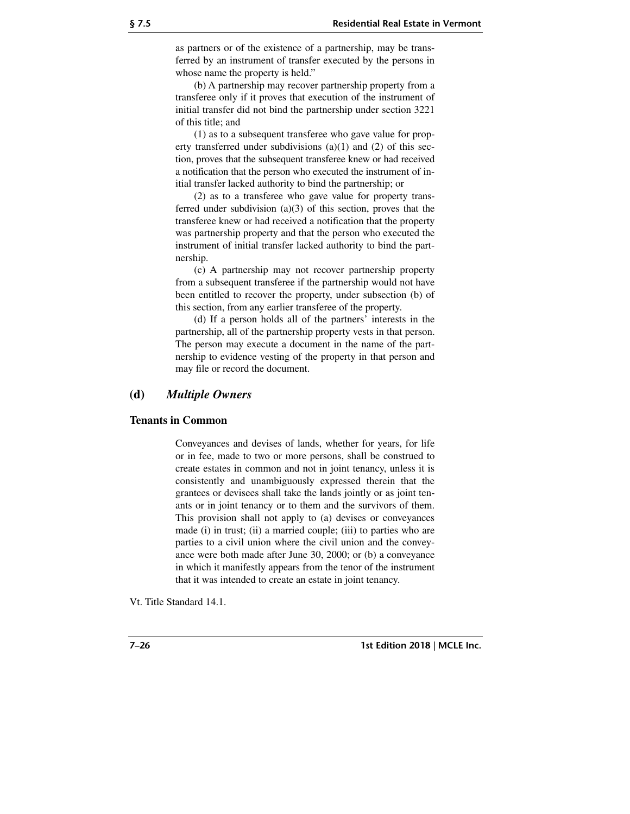as partners or of the existence of a partnership, may be transferred by an instrument of transfer executed by the persons in whose name the property is held."

(b) A partnership may recover partnership property from a transferee only if it proves that execution of the instrument of initial transfer did not bind the partnership under section 3221 of this title; and

(1) as to a subsequent transferee who gave value for property transferred under subdivisions (a)(1) and (2) of this section, proves that the subsequent transferee knew or had received a notification that the person who executed the instrument of initial transfer lacked authority to bind the partnership; or

(2) as to a transferee who gave value for property transferred under subdivision (a)(3) of this section, proves that the transferee knew or had received a notification that the property was partnership property and that the person who executed the instrument of initial transfer lacked authority to bind the partnership.

(c) A partnership may not recover partnership property from a subsequent transferee if the partnership would not have been entitled to recover the property, under subsection (b) of this section, from any earlier transferee of the property.

(d) If a person holds all of the partners' interests in the partnership, all of the partnership property vests in that person. The person may execute a document in the name of the partnership to evidence vesting of the property in that person and may file or record the document.

#### **(d)** *Multiple Owners*

#### **Tenants in Common**

Conveyances and devises of lands, whether for years, for life or in fee, made to two or more persons, shall be construed to create estates in common and not in joint tenancy, unless it is consistently and unambiguously expressed therein that the grantees or devisees shall take the lands jointly or as joint tenants or in joint tenancy or to them and the survivors of them. This provision shall not apply to (a) devises or conveyances made (i) in trust; (ii) a married couple; (iii) to parties who are parties to a civil union where the civil union and the conveyance were both made after June 30, 2000; or (b) a conveyance in which it manifestly appears from the tenor of the instrument that it was intended to create an estate in joint tenancy.

Vt. Title Standard 14.1.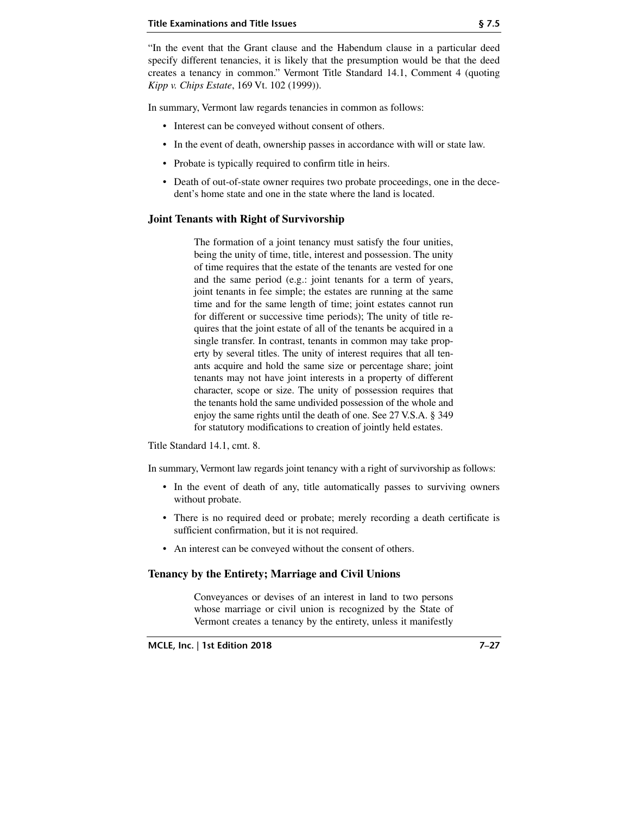"In the event that the Grant clause and the Habendum clause in a particular deed specify different tenancies, it is likely that the presumption would be that the deed creates a tenancy in common." Vermont Title Standard 14.1, Comment 4 (quoting *Kipp v. Chips Estate*, 169 Vt. 102 (1999)).

In summary, Vermont law regards tenancies in common as follows:

- Interest can be conveyed without consent of others.
- In the event of death, ownership passes in accordance with will or state law.
- Probate is typically required to confirm title in heirs.
- Death of out-of-state owner requires two probate proceedings, one in the decedent's home state and one in the state where the land is located.

#### **Joint Tenants with Right of Survivorship**

The formation of a joint tenancy must satisfy the four unities, being the unity of time, title, interest and possession. The unity of time requires that the estate of the tenants are vested for one and the same period (e.g.: joint tenants for a term of years, joint tenants in fee simple; the estates are running at the same time and for the same length of time; joint estates cannot run for different or successive time periods); The unity of title requires that the joint estate of all of the tenants be acquired in a single transfer. In contrast, tenants in common may take property by several titles. The unity of interest requires that all tenants acquire and hold the same size or percentage share; joint tenants may not have joint interests in a property of different character, scope or size. The unity of possession requires that the tenants hold the same undivided possession of the whole and enjoy the same rights until the death of one. See 27 V.S.A. § 349 for statutory modifications to creation of jointly held estates.

Title Standard 14.1, cmt. 8.

In summary, Vermont law regards joint tenancy with a right of survivorship as follows:

- In the event of death of any, title automatically passes to surviving owners without probate.
- There is no required deed or probate; merely recording a death certificate is sufficient confirmation, but it is not required.
- An interest can be conveyed without the consent of others.

#### **Tenancy by the Entirety; Marriage and Civil Unions**

Conveyances or devises of an interest in land to two persons whose marriage or civil union is recognized by the State of Vermont creates a tenancy by the entirety, unless it manifestly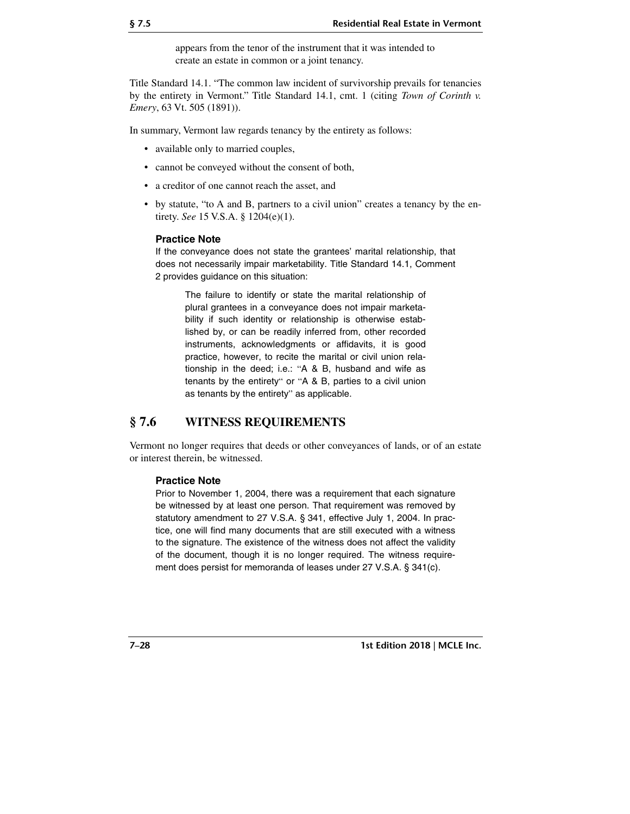appears from the tenor of the instrument that it was intended to create an estate in common or a joint tenancy.

Title Standard 14.1. "The common law incident of survivorship prevails for tenancies by the entirety in Vermont." Title Standard 14.1, cmt. 1 (citing *Town of Corinth v. Emery*, 63 Vt. 505 (1891)).

In summary, Vermont law regards tenancy by the entirety as follows:

- available only to married couples,
- cannot be conveyed without the consent of both,
- a creditor of one cannot reach the asset, and
- by statute, "to A and B, partners to a civil union" creates a tenancy by the entirety. *See* 15 V.S.A. § 1204(e)(1).

#### **Practice Note**

If the conveyance does not state the grantees' marital relationship, that does not necessarily impair marketability. Title Standard 14.1, Comment 2 provides guidance on this situation:

The failure to identify or state the marital relationship of plural grantees in a conveyance does not impair marketability if such identity or relationship is otherwise established by, or can be readily inferred from, other recorded instruments, acknowledgments or affidavits, it is good practice, however, to recite the marital or civil union relationship in the deed; i.e.: "A & B, husband and wife as tenants by the entirety" or "A & B, parties to a civil union as tenants by the entirety" as applicable.

## **§ 7.6 WITNESS REQUIREMENTS**

Vermont no longer requires that deeds or other conveyances of lands, or of an estate or interest therein, be witnessed.

#### **Practice Note**

Prior to November 1, 2004, there was a requirement that each signature be witnessed by at least one person. That requirement was removed by statutory amendment to 27 V.S.A. § 341, effective July 1, 2004. In practice, one will find many documents that are still executed with a witness to the signature. The existence of the witness does not affect the validity of the document, though it is no longer required. The witness requirement does persist for memoranda of leases under 27 V.S.A. § 341(c).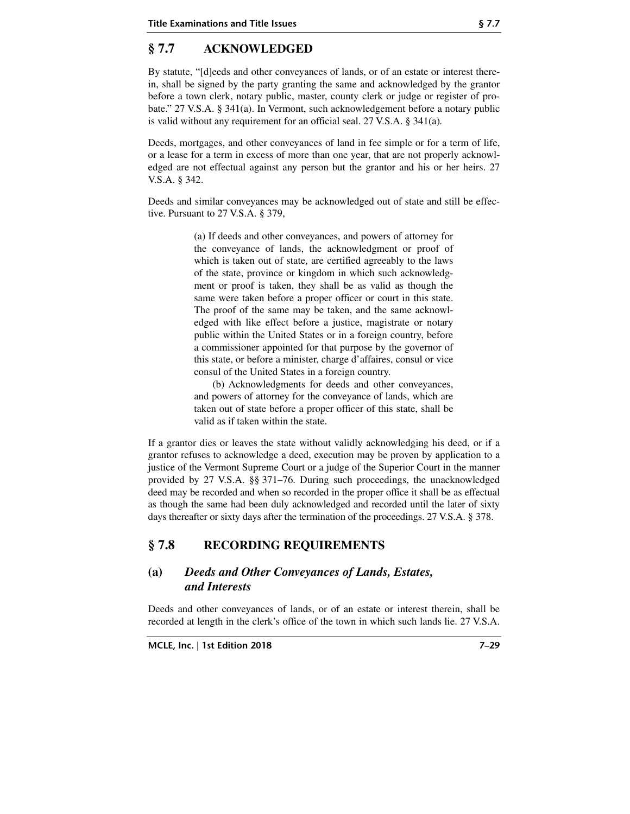# **§ 7.7 ACKNOWLEDGED**

By statute, "[d]eeds and other conveyances of lands, or of an estate or interest therein, shall be signed by the party granting the same and acknowledged by the grantor before a town clerk, notary public, master, county clerk or judge or register of probate." 27 V.S.A. § 341(a). In Vermont, such acknowledgement before a notary public is valid without any requirement for an official seal. 27 V.S.A. § 341(a)*.*

Deeds, mortgages, and other conveyances of land in fee simple or for a term of life, or a lease for a term in excess of more than one year, that are not properly acknowledged are not effectual against any person but the grantor and his or her heirs. 27 V.S.A. § 342.

Deeds and similar conveyances may be acknowledged out of state and still be effective. Pursuant to 27 V.S.A. § 379,

> (a) If deeds and other conveyances, and powers of attorney for the conveyance of lands, the acknowledgment or proof of which is taken out of state, are certified agreeably to the laws of the state, province or kingdom in which such acknowledgment or proof is taken, they shall be as valid as though the same were taken before a proper officer or court in this state. The proof of the same may be taken, and the same acknowledged with like effect before a justice, magistrate or notary public within the United States or in a foreign country, before a commissioner appointed for that purpose by the governor of this state, or before a minister, charge d'affaires, consul or vice consul of the United States in a foreign country.

> (b) Acknowledgments for deeds and other conveyances, and powers of attorney for the conveyance of lands, which are taken out of state before a proper officer of this state, shall be valid as if taken within the state.

If a grantor dies or leaves the state without validly acknowledging his deed, or if a grantor refuses to acknowledge a deed, execution may be proven by application to a justice of the Vermont Supreme Court or a judge of the Superior Court in the manner provided by 27 V.S.A. §§ 371–76. During such proceedings, the unacknowledged deed may be recorded and when so recorded in the proper office it shall be as effectual as though the same had been duly acknowledged and recorded until the later of sixty days thereafter or sixty days after the termination of the proceedings. 27 V.S.A. § 378.

# **§ 7.8 RECORDING REQUIREMENTS**

## **(a)** *Deeds and Other Conveyances of Lands, Estates, and Interests*

Deeds and other conveyances of lands, or of an estate or interest therein, shall be recorded at length in the clerk's office of the town in which such lands lie. 27 V.S.A.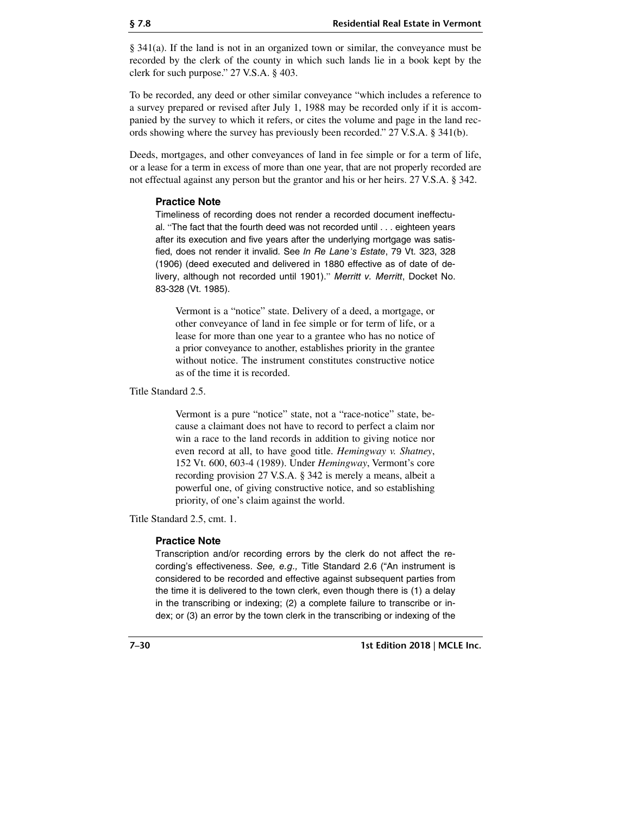§ 341(a). If the land is not in an organized town or similar, the conveyance must be recorded by the clerk of the county in which such lands lie in a book kept by the clerk for such purpose." 27 V.S.A. § 403.

To be recorded, any deed or other similar conveyance "which includes a reference to a survey prepared or revised after July 1, 1988 may be recorded only if it is accompanied by the survey to which it refers, or cites the volume and page in the land records showing where the survey has previously been recorded." 27 V.S.A. § 341(b).

Deeds, mortgages, and other conveyances of land in fee simple or for a term of life, or a lease for a term in excess of more than one year, that are not properly recorded are not effectual against any person but the grantor and his or her heirs. 27 V.S.A. § 342.

#### **Practice Note**

Timeliness of recording does not render a recorded document ineffectual. "The fact that the fourth deed was not recorded until . . . eighteen years after its execution and five years after the underlying mortgage was satisfied, does not render it invalid. See In Re Lane*'*s Estate, 79 Vt. 323, 328 (1906) (deed executed and delivered in 1880 effective as of date of delivery, although not recorded until 1901)." Merritt v. Merritt, Docket No. 83-328 (Vt. 1985).

Vermont is a "notice" state. Delivery of a deed, a mortgage, or other conveyance of land in fee simple or for term of life, or a lease for more than one year to a grantee who has no notice of a prior conveyance to another, establishes priority in the grantee without notice. The instrument constitutes constructive notice as of the time it is recorded.

Title Standard 2.5.

Vermont is a pure "notice" state, not a "race-notice" state, because a claimant does not have to record to perfect a claim nor win a race to the land records in addition to giving notice nor even record at all, to have good title. *Hemingway v. Shatney*, 152 Vt. 600, 603-4 (1989). Under *Hemingway*, Vermont's core recording provision 27 V.S.A. § 342 is merely a means, albeit a powerful one, of giving constructive notice, and so establishing priority, of one's claim against the world.

Title Standard 2.5, cmt. 1.

#### **Practice Note**

Transcription and/or recording errors by the clerk do not affect the recording's effectiveness. See, e.g., Title Standard 2.6 ("An instrument is considered to be recorded and effective against subsequent parties from the time it is delivered to the town clerk, even though there is (1) a delay in the transcribing or indexing; (2) a complete failure to transcribe or index; or (3) an error by the town clerk in the transcribing or indexing of the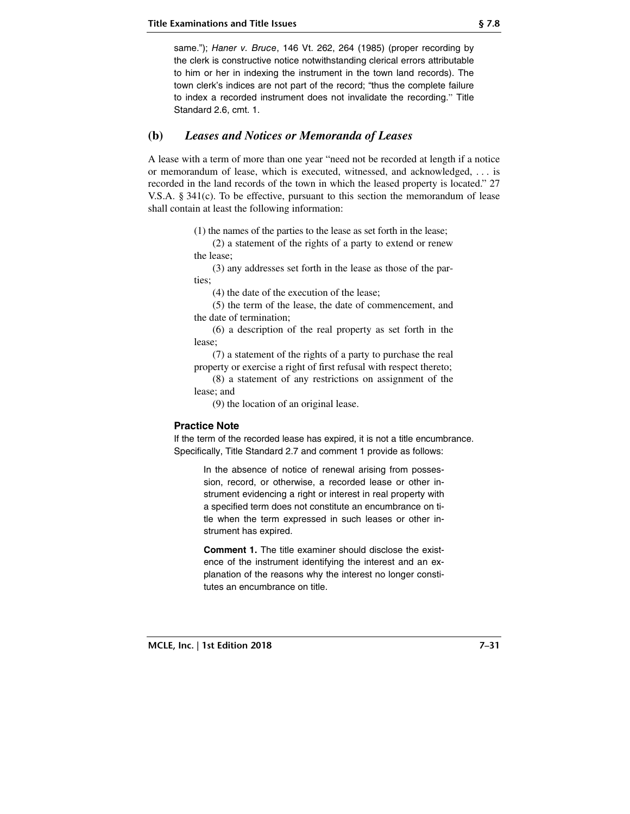same."); Haner v. Bruce, 146 Vt. 262, 264 (1985) (proper recording by the clerk is constructive notice notwithstanding clerical errors attributable to him or her in indexing the instrument in the town land records). The town clerk's indices are not part of the record; "thus the complete failure to index a recorded instrument does not invalidate the recording." Title Standard 2.6, cmt. 1.

## **(b)** *Leases and Notices or Memoranda of Leases*

A lease with a term of more than one year "need not be recorded at length if a notice or memorandum of lease, which is executed, witnessed, and acknowledged, . . . is recorded in the land records of the town in which the leased property is located." 27 V.S.A. § 341(c). To be effective, pursuant to this section the memorandum of lease shall contain at least the following information:

(1) the names of the parties to the lease as set forth in the lease;

(2) a statement of the rights of a party to extend or renew the lease;

(3) any addresses set forth in the lease as those of the parties;

(4) the date of the execution of the lease;

(5) the term of the lease, the date of commencement, and the date of termination;

(6) a description of the real property as set forth in the lease;

(7) a statement of the rights of a party to purchase the real property or exercise a right of first refusal with respect thereto;

(8) a statement of any restrictions on assignment of the lease; and

(9) the location of an original lease.

#### **Practice Note**

If the term of the recorded lease has expired, it is not a title encumbrance. Specifically, Title Standard 2.7 and comment 1 provide as follows:

In the absence of notice of renewal arising from possession, record, or otherwise, a recorded lease or other instrument evidencing a right or interest in real property with a specified term does not constitute an encumbrance on title when the term expressed in such leases or other instrument has expired.

**Comment 1.** The title examiner should disclose the existence of the instrument identifying the interest and an explanation of the reasons why the interest no longer constitutes an encumbrance on title.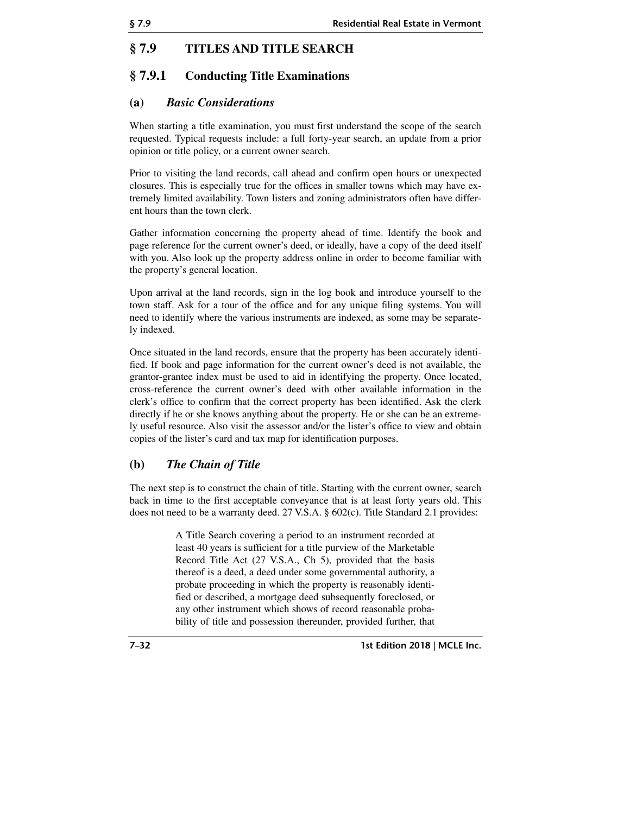## **§ 7.9 TITLES AND TITLE SEARCH**

## **§ 7.9.1 Conducting Title Examinations**

## **(a)** *Basic Considerations*

When starting a title examination, you must first understand the scope of the search requested. Typical requests include: a full forty-year search, an update from a prior opinion or title policy, or a current owner search.

Prior to visiting the land records, call ahead and confirm open hours or unexpected closures. This is especially true for the offices in smaller towns which may have extremely limited availability. Town listers and zoning administrators often have different hours than the town clerk.

Gather information concerning the property ahead of time. Identify the book and page reference for the current owner's deed, or ideally, have a copy of the deed itself with you. Also look up the property address online in order to become familiar with the property's general location.

Upon arrival at the land records, sign in the log book and introduce yourself to the town staff. Ask for a tour of the office and for any unique filing systems. You will need to identify where the various instruments are indexed, as some may be separately indexed.

Once situated in the land records, ensure that the property has been accurately identified. If book and page information for the current owner's deed is not available, the grantor-grantee index must be used to aid in identifying the property. Once located, cross-reference the current owner's deed with other available information in the clerk's office to confirm that the correct property has been identified. Ask the clerk directly if he or she knows anything about the property. He or she can be an extremely useful resource. Also visit the assessor and/or the lister's office to view and obtain copies of the lister's card and tax map for identification purposes.

## **(b)** *The Chain of Title*

The next step is to construct the chain of title. Starting with the current owner, search back in time to the first acceptable conveyance that is at least forty years old. This does not need to be a warranty deed. 27 V.S.A. § 602(c). Title Standard 2.1 provides:

> A Title Search covering a period to an instrument recorded at least 40 years is sufficient for a title purview of the Marketable Record Title Act (27 V.S.A., Ch 5), provided that the basis thereof is a deed, a deed under some governmental authority, a probate proceeding in which the property is reasonably identified or described, a mortgage deed subsequently foreclosed, or any other instrument which shows of record reasonable probability of title and possession thereunder, provided further, that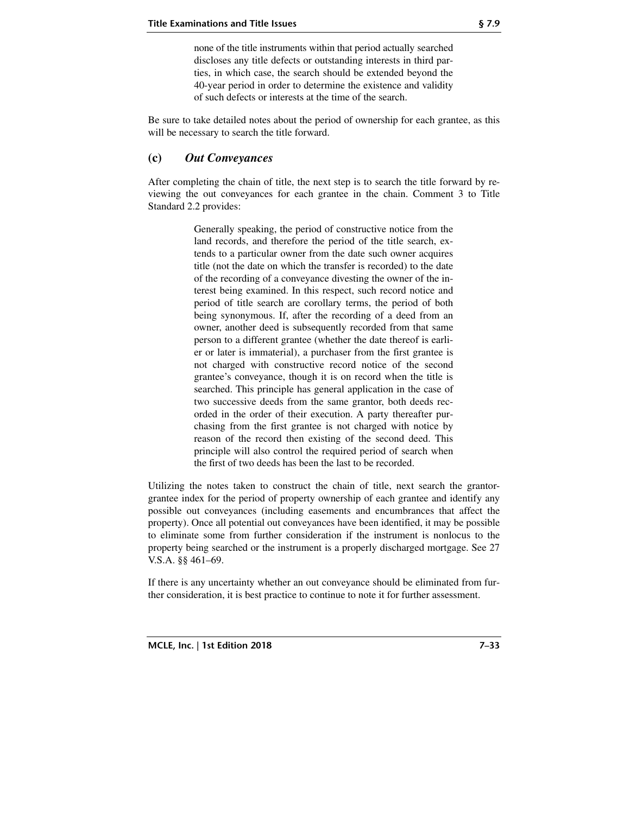none of the title instruments within that period actually searched discloses any title defects or outstanding interests in third parties, in which case, the search should be extended beyond the 40-year period in order to determine the existence and validity of such defects or interests at the time of the search.

Be sure to take detailed notes about the period of ownership for each grantee, as this will be necessary to search the title forward.

#### **(c)** *Out Conveyances*

After completing the chain of title, the next step is to search the title forward by reviewing the out conveyances for each grantee in the chain. Comment 3 to Title Standard 2.2 provides:

> Generally speaking, the period of constructive notice from the land records, and therefore the period of the title search, extends to a particular owner from the date such owner acquires title (not the date on which the transfer is recorded) to the date of the recording of a conveyance divesting the owner of the interest being examined. In this respect, such record notice and period of title search are corollary terms, the period of both being synonymous. If, after the recording of a deed from an owner, another deed is subsequently recorded from that same person to a different grantee (whether the date thereof is earlier or later is immaterial), a purchaser from the first grantee is not charged with constructive record notice of the second grantee's conveyance, though it is on record when the title is searched. This principle has general application in the case of two successive deeds from the same grantor, both deeds recorded in the order of their execution. A party thereafter purchasing from the first grantee is not charged with notice by reason of the record then existing of the second deed. This principle will also control the required period of search when the first of two deeds has been the last to be recorded.

Utilizing the notes taken to construct the chain of title, next search the grantorgrantee index for the period of property ownership of each grantee and identify any possible out conveyances (including easements and encumbrances that affect the property). Once all potential out conveyances have been identified, it may be possible to eliminate some from further consideration if the instrument is nonlocus to the property being searched or the instrument is a properly discharged mortgage. See 27 V.S.A. §§ 461–69.

If there is any uncertainty whether an out conveyance should be eliminated from further consideration, it is best practice to continue to note it for further assessment.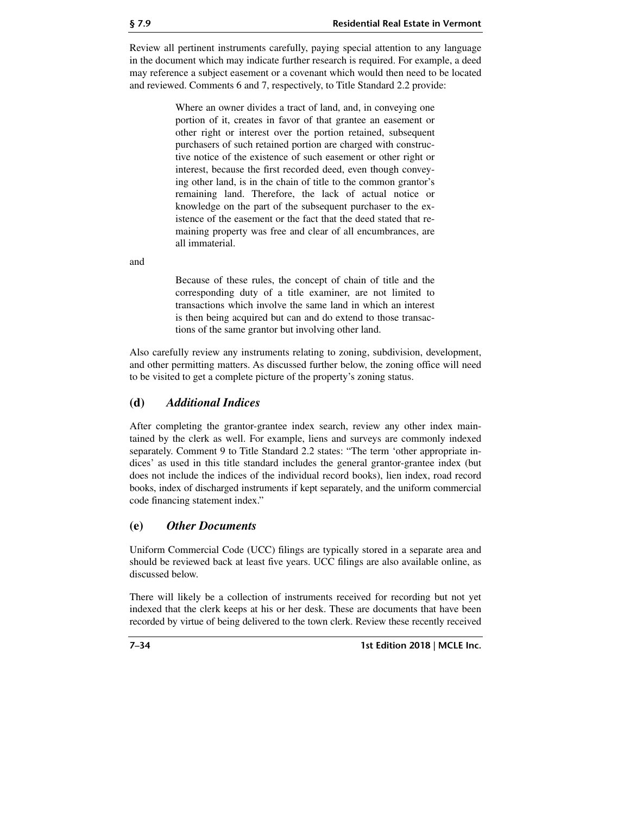Review all pertinent instruments carefully, paying special attention to any language in the document which may indicate further research is required. For example, a deed may reference a subject easement or a covenant which would then need to be located and reviewed. Comments 6 and 7, respectively, to Title Standard 2.2 provide:

> Where an owner divides a tract of land, and, in conveying one portion of it, creates in favor of that grantee an easement or other right or interest over the portion retained, subsequent purchasers of such retained portion are charged with constructive notice of the existence of such easement or other right or interest, because the first recorded deed, even though conveying other land, is in the chain of title to the common grantor's remaining land. Therefore, the lack of actual notice or knowledge on the part of the subsequent purchaser to the existence of the easement or the fact that the deed stated that remaining property was free and clear of all encumbrances, are all immaterial.

and

Because of these rules, the concept of chain of title and the corresponding duty of a title examiner, are not limited to transactions which involve the same land in which an interest is then being acquired but can and do extend to those transactions of the same grantor but involving other land.

Also carefully review any instruments relating to zoning, subdivision, development, and other permitting matters. As discussed further below, the zoning office will need to be visited to get a complete picture of the property's zoning status.

## **(d)** *Additional Indices*

After completing the grantor-grantee index search, review any other index maintained by the clerk as well. For example, liens and surveys are commonly indexed separately. Comment 9 to Title Standard 2.2 states: "The term 'other appropriate indices' as used in this title standard includes the general grantor-grantee index (but does not include the indices of the individual record books), lien index, road record books, index of discharged instruments if kept separately, and the uniform commercial code financing statement index."

## **(e)** *Other Documents*

Uniform Commercial Code (UCC) filings are typically stored in a separate area and should be reviewed back at least five years. UCC filings are also available online, as discussed below.

There will likely be a collection of instruments received for recording but not yet indexed that the clerk keeps at his or her desk. These are documents that have been recorded by virtue of being delivered to the town clerk. Review these recently received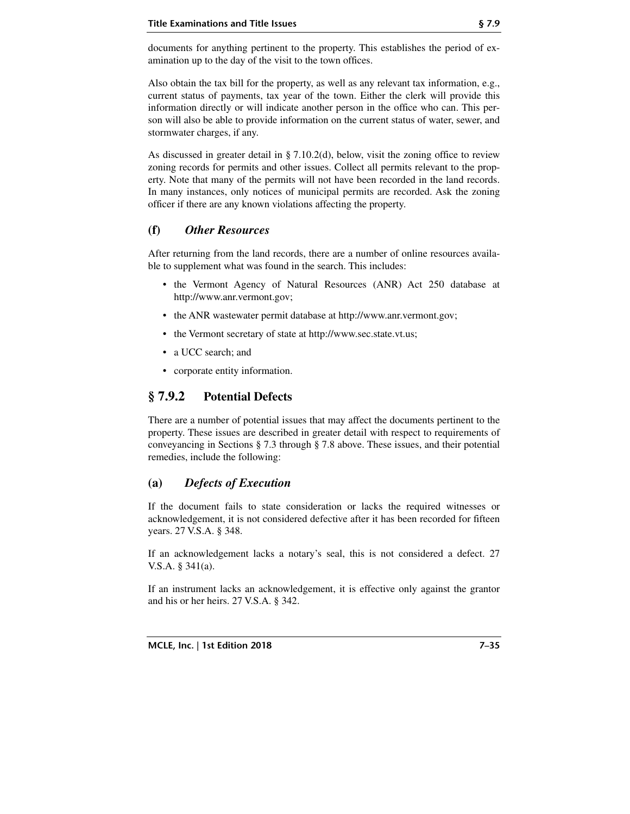documents for anything pertinent to the property. This establishes the period of examination up to the day of the visit to the town offices.

Also obtain the tax bill for the property, as well as any relevant tax information, e.g., current status of payments, tax year of the town. Either the clerk will provide this information directly or will indicate another person in the office who can. This person will also be able to provide information on the current status of water, sewer, and stormwater charges, if any.

As discussed in greater detail in  $\S$  7.10.2(d), below, visit the zoning office to review zoning records for permits and other issues. Collect all permits relevant to the property. Note that many of the permits will not have been recorded in the land records. In many instances, only notices of municipal permits are recorded. Ask the zoning officer if there are any known violations affecting the property.

## **(f)** *Other Resources*

After returning from the land records, there are a number of online resources available to supplement what was found in the search. This includes:

- the Vermont Agency of Natural Resources (ANR) Act 250 database at http://www.anr.vermont.gov;
- the ANR wastewater permit database at http://www.anr.vermont.gov;
- the Vermont secretary of state at http://www.sec.state.vt.us;
- a UCC search; and
- corporate entity information.

# **§ 7.9.2 Potential Defects**

There are a number of potential issues that may affect the documents pertinent to the property. These issues are described in greater detail with respect to requirements of conveyancing in Sections § 7.3 through § 7.8 above. These issues, and their potential remedies, include the following:

## **(a)** *Defects of Execution*

If the document fails to state consideration or lacks the required witnesses or acknowledgement, it is not considered defective after it has been recorded for fifteen years. 27 V.S.A. § 348.

If an acknowledgement lacks a notary's seal, this is not considered a defect. 27 V.S.A. § 341(a).

If an instrument lacks an acknowledgement, it is effective only against the grantor and his or her heirs. 27 V.S.A. § 342.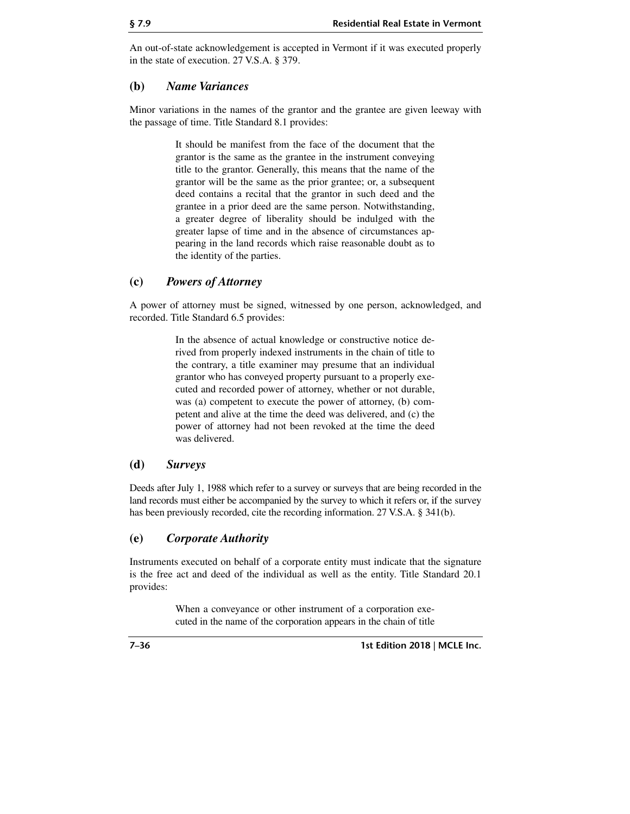An out-of-state acknowledgement is accepted in Vermont if it was executed properly in the state of execution. 27 V.S.A. § 379.

## **(b)** *Name Variances*

Minor variations in the names of the grantor and the grantee are given leeway with the passage of time. Title Standard 8.1 provides:

> It should be manifest from the face of the document that the grantor is the same as the grantee in the instrument conveying title to the grantor. Generally, this means that the name of the grantor will be the same as the prior grantee; or, a subsequent deed contains a recital that the grantor in such deed and the grantee in a prior deed are the same person. Notwithstanding, a greater degree of liberality should be indulged with the greater lapse of time and in the absence of circumstances appearing in the land records which raise reasonable doubt as to the identity of the parties.

## **(c)** *Powers of Attorney*

A power of attorney must be signed, witnessed by one person, acknowledged, and recorded. Title Standard 6.5 provides:

> In the absence of actual knowledge or constructive notice derived from properly indexed instruments in the chain of title to the contrary, a title examiner may presume that an individual grantor who has conveyed property pursuant to a properly executed and recorded power of attorney, whether or not durable, was (a) competent to execute the power of attorney, (b) competent and alive at the time the deed was delivered, and (c) the power of attorney had not been revoked at the time the deed was delivered.

## **(d)** *Surveys*

Deeds after July 1, 1988 which refer to a survey or surveys that are being recorded in the land records must either be accompanied by the survey to which it refers or, if the survey has been previously recorded, cite the recording information. 27 V.S.A. § 341(b).

## **(e)** *Corporate Authority*

Instruments executed on behalf of a corporate entity must indicate that the signature is the free act and deed of the individual as well as the entity. Title Standard 20.1 provides:

> When a conveyance or other instrument of a corporation executed in the name of the corporation appears in the chain of title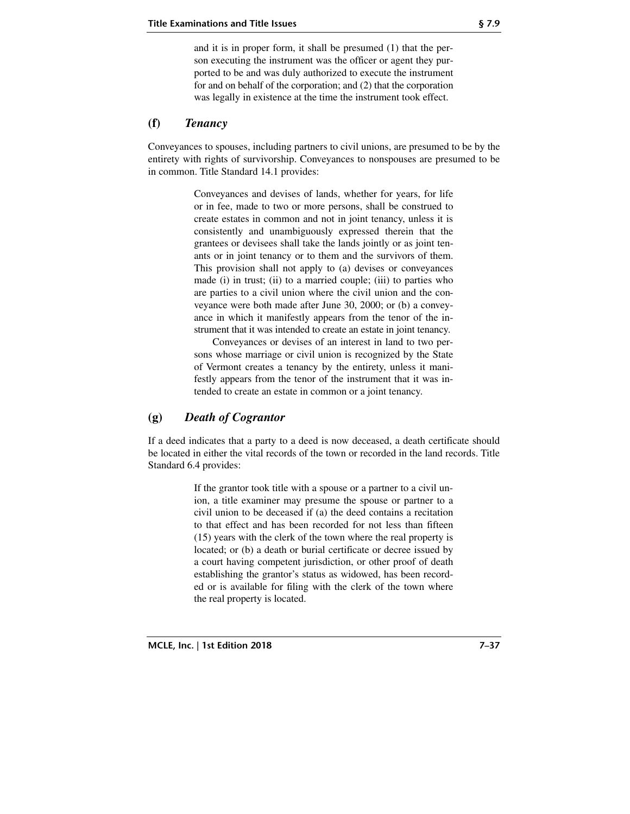and it is in proper form, it shall be presumed (1) that the person executing the instrument was the officer or agent they purported to be and was duly authorized to execute the instrument for and on behalf of the corporation; and (2) that the corporation was legally in existence at the time the instrument took effect.

## **(f)** *Tenancy*

Conveyances to spouses, including partners to civil unions, are presumed to be by the entirety with rights of survivorship. Conveyances to nonspouses are presumed to be in common. Title Standard 14.1 provides:

> Conveyances and devises of lands, whether for years, for life or in fee, made to two or more persons, shall be construed to create estates in common and not in joint tenancy, unless it is consistently and unambiguously expressed therein that the grantees or devisees shall take the lands jointly or as joint tenants or in joint tenancy or to them and the survivors of them. This provision shall not apply to (a) devises or conveyances made (i) in trust; (ii) to a married couple; (iii) to parties who are parties to a civil union where the civil union and the conveyance were both made after June 30, 2000; or (b) a conveyance in which it manifestly appears from the tenor of the instrument that it was intended to create an estate in joint tenancy.

> Conveyances or devises of an interest in land to two persons whose marriage or civil union is recognized by the State of Vermont creates a tenancy by the entirety, unless it manifestly appears from the tenor of the instrument that it was intended to create an estate in common or a joint tenancy.

## **(g)** *Death of Cograntor*

If a deed indicates that a party to a deed is now deceased, a death certificate should be located in either the vital records of the town or recorded in the land records. Title Standard 6.4 provides:

> If the grantor took title with a spouse or a partner to a civil union, a title examiner may presume the spouse or partner to a civil union to be deceased if (a) the deed contains a recitation to that effect and has been recorded for not less than fifteen (15) years with the clerk of the town where the real property is located; or (b) a death or burial certificate or decree issued by a court having competent jurisdiction, or other proof of death establishing the grantor's status as widowed, has been recorded or is available for filing with the clerk of the town where the real property is located.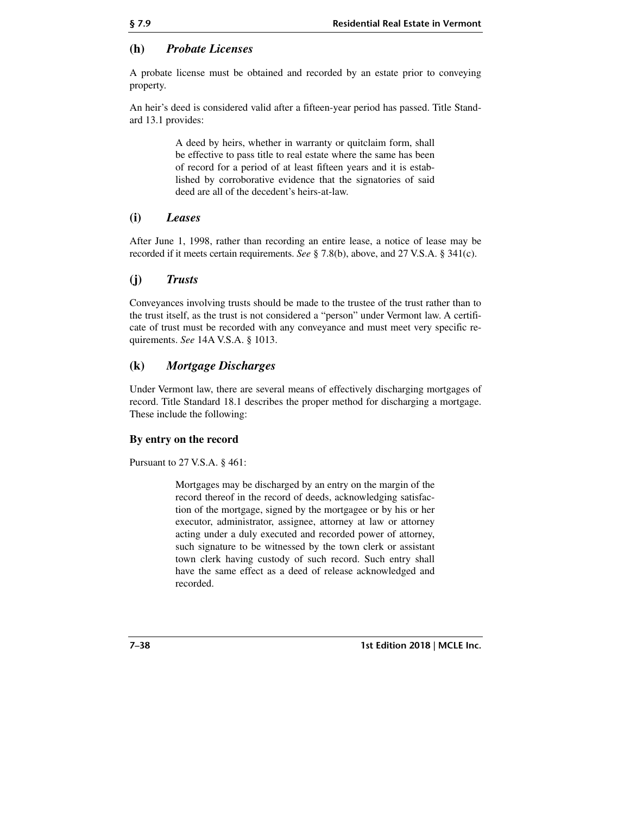## **(h)** *Probate Licenses*

A probate license must be obtained and recorded by an estate prior to conveying property.

An heir's deed is considered valid after a fifteen-year period has passed. Title Standard 13.1 provides:

> A deed by heirs, whether in warranty or quitclaim form, shall be effective to pass title to real estate where the same has been of record for a period of at least fifteen years and it is established by corroborative evidence that the signatories of said deed are all of the decedent's heirs-at-law.

## **(i)** *Leases*

After June 1, 1998, rather than recording an entire lease, a notice of lease may be recorded if it meets certain requirements. *See* § 7.8(b), above, and 27 V.S.A. § 341(c).

## **(j)** *Trusts*

Conveyances involving trusts should be made to the trustee of the trust rather than to the trust itself, as the trust is not considered a "person" under Vermont law. A certificate of trust must be recorded with any conveyance and must meet very specific requirements. *See* 14A V.S.A. § 1013.

## **(k)** *Mortgage Discharges*

Under Vermont law, there are several means of effectively discharging mortgages of record. Title Standard 18.1 describes the proper method for discharging a mortgage. These include the following:

#### **By entry on the record**

Pursuant to 27 V.S.A. § 461:

Mortgages may be discharged by an entry on the margin of the record thereof in the record of deeds, acknowledging satisfaction of the mortgage, signed by the mortgagee or by his or her executor, administrator, assignee, attorney at law or attorney acting under a duly executed and recorded power of attorney, such signature to be witnessed by the town clerk or assistant town clerk having custody of such record. Such entry shall have the same effect as a deed of release acknowledged and recorded.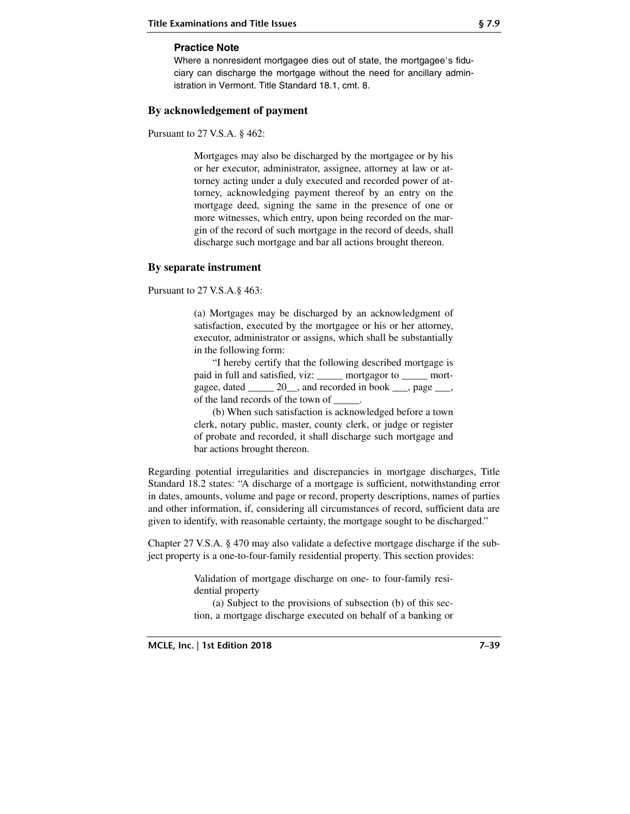#### **Practice Note**

Where a nonresident mortgagee dies out of state, the mortgagee's fiduciary can discharge the mortgage without the need for ancillary administration in Vermont. Title Standard 18.1, cmt. 8.

#### **By acknowledgement of payment**

Pursuant to 27 V.S.A. § 462:

Mortgages may also be discharged by the mortgagee or by his or her executor, administrator, assignee, attorney at law or attorney acting under a duly executed and recorded power of attorney, acknowledging payment thereof by an entry on the mortgage deed, signing the same in the presence of one or more witnesses, which entry, upon being recorded on the margin of the record of such mortgage in the record of deeds, shall discharge such mortgage and bar all actions brought thereon.

#### **By separate instrument**

Pursuant to 27 V.S.A.§ 463:

(a) Mortgages may be discharged by an acknowledgment of satisfaction, executed by the mortgagee or his or her attorney, executor, administrator or assigns, which shall be substantially in the following form:

"I hereby certify that the following described mortgage is paid in full and satisfied, viz: \_\_\_\_\_ mortgagor to \_\_\_\_\_ mortgagee, dated \_\_\_\_\_ 20\_\_, and recorded in book \_\_\_, page \_\_\_, of the land records of the town of \_\_\_\_\_.

(b) When such satisfaction is acknowledged before a town clerk, notary public, master, county clerk, or judge or register of probate and recorded, it shall discharge such mortgage and bar actions brought thereon.

Regarding potential irregularities and discrepancies in mortgage discharges, Title Standard 18.2 states: "A discharge of a mortgage is sufficient, notwithstanding error in dates, amounts, volume and page or record, property descriptions, names of parties and other information, if, considering all circumstances of record, sufficient data are given to identify, with reasonable certainty, the mortgage sought to be discharged."

Chapter 27 V.S.A. § 470 may also validate a defective mortgage discharge if the subject property is a one-to-four-family residential property. This section provides:

> Validation of mortgage discharge on one- to four-family residential property

> (a) Subject to the provisions of subsection (b) of this section, a mortgage discharge executed on behalf of a banking or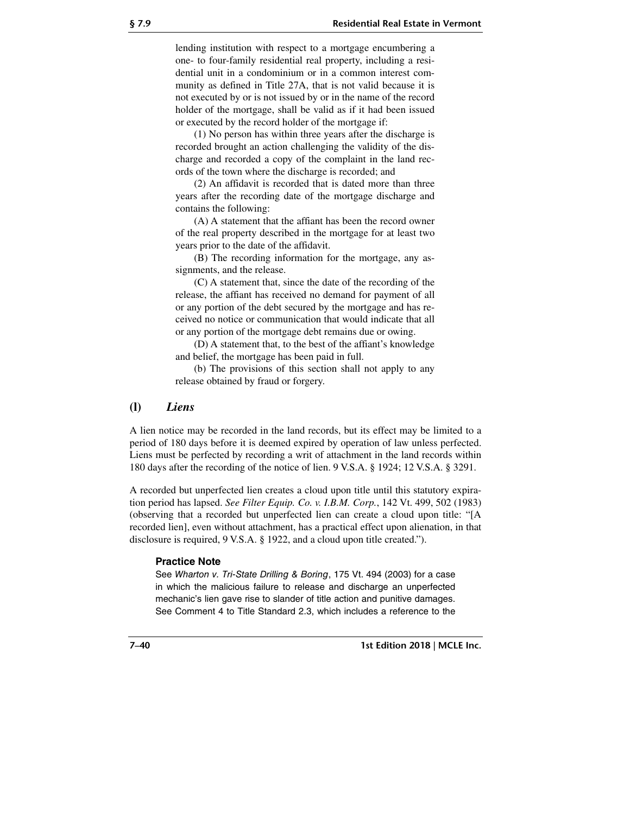lending institution with respect to a mortgage encumbering a one- to four-family residential real property, including a residential unit in a condominium or in a common interest community as defined in Title 27A, that is not valid because it is not executed by or is not issued by or in the name of the record holder of the mortgage, shall be valid as if it had been issued or executed by the record holder of the mortgage if:

(1) No person has within three years after the discharge is recorded brought an action challenging the validity of the discharge and recorded a copy of the complaint in the land records of the town where the discharge is recorded; and

(2) An affidavit is recorded that is dated more than three years after the recording date of the mortgage discharge and contains the following:

(A) A statement that the affiant has been the record owner of the real property described in the mortgage for at least two years prior to the date of the affidavit.

(B) The recording information for the mortgage, any assignments, and the release.

(C) A statement that, since the date of the recording of the release, the affiant has received no demand for payment of all or any portion of the debt secured by the mortgage and has received no notice or communication that would indicate that all or any portion of the mortgage debt remains due or owing.

(D) A statement that, to the best of the affiant's knowledge and belief, the mortgage has been paid in full.

(b) The provisions of this section shall not apply to any release obtained by fraud or forgery.

#### **(l)** *Liens*

A lien notice may be recorded in the land records, but its effect may be limited to a period of 180 days before it is deemed expired by operation of law unless perfected. Liens must be perfected by recording a writ of attachment in the land records within 180 days after the recording of the notice of lien. 9 V.S.A. § 1924; 12 V.S.A. § 3291.

A recorded but unperfected lien creates a cloud upon title until this statutory expiration period has lapsed. *See Filter Equip. Co. v. I.B.M. Corp.*, 142 Vt. 499, 502 (1983) (observing that a recorded but unperfected lien can create a cloud upon title: "[A recorded lien], even without attachment, has a practical effect upon alienation, in that disclosure is required, 9 V.S.A. § 1922, and a cloud upon title created.").

#### **Practice Note**

See Wharton v. Tri-State Drilling & Boring, 175 Vt. 494 (2003) for a case in which the malicious failure to release and discharge an unperfected mechanic's lien gave rise to slander of title action and punitive damages. See Comment 4 to Title Standard 2.3, which includes a reference to the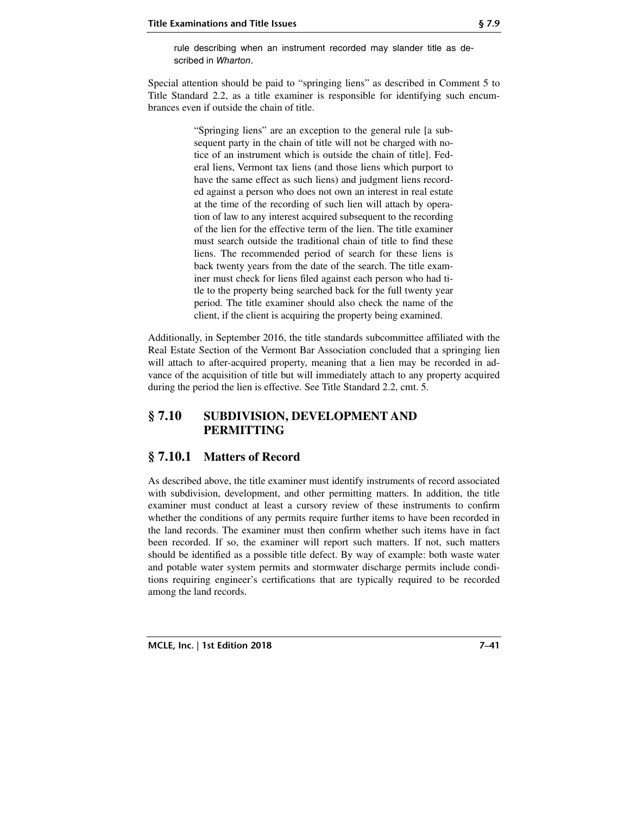rule describing when an instrument recorded may slander title as described in Wharton.

Special attention should be paid to "springing liens" as described in Comment 5 to Title Standard 2.2, as a title examiner is responsible for identifying such encumbrances even if outside the chain of title.

> "Springing liens" are an exception to the general rule [a subsequent party in the chain of title will not be charged with notice of an instrument which is outside the chain of title]. Federal liens, Vermont tax liens (and those liens which purport to have the same effect as such liens) and judgment liens recorded against a person who does not own an interest in real estate at the time of the recording of such lien will attach by operation of law to any interest acquired subsequent to the recording of the lien for the effective term of the lien. The title examiner must search outside the traditional chain of title to find these liens. The recommended period of search for these liens is back twenty years from the date of the search. The title examiner must check for liens filed against each person who had title to the property being searched back for the full twenty year period. The title examiner should also check the name of the client, if the client is acquiring the property being examined.

Additionally, in September 2016, the title standards subcommittee affiliated with the Real Estate Section of the Vermont Bar Association concluded that a springing lien will attach to after-acquired property, meaning that a lien may be recorded in advance of the acquisition of title but will immediately attach to any property acquired during the period the lien is effective. See Title Standard 2.2, cmt. 5.

## **§ 7.10 SUBDIVISION, DEVELOPMENT AND PERMITTING**

## **§ 7.10.1 Matters of Record**

As described above, the title examiner must identify instruments of record associated with subdivision, development, and other permitting matters. In addition, the title examiner must conduct at least a cursory review of these instruments to confirm whether the conditions of any permits require further items to have been recorded in the land records. The examiner must then confirm whether such items have in fact been recorded. If so, the examiner will report such matters. If not, such matters should be identified as a possible title defect. By way of example: both waste water and potable water system permits and stormwater discharge permits include conditions requiring engineer's certifications that are typically required to be recorded among the land records.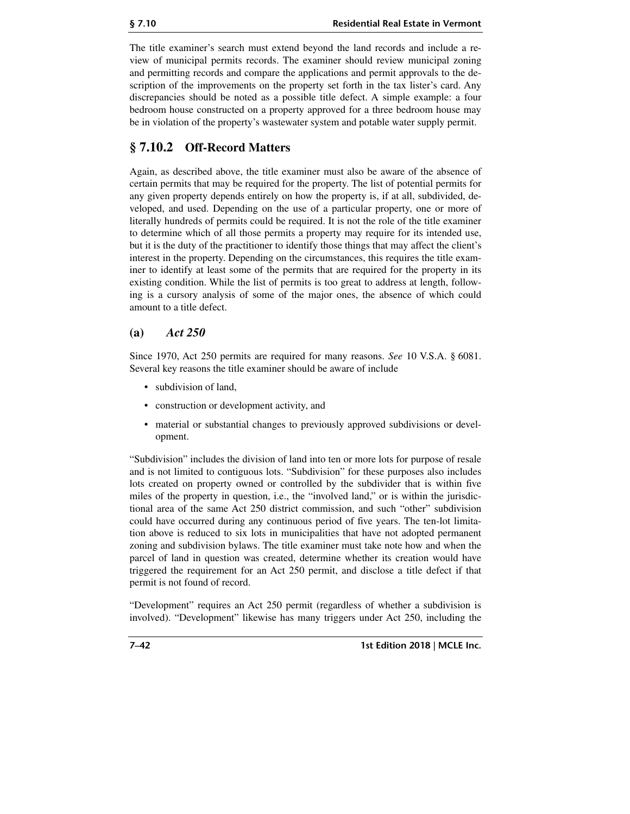The title examiner's search must extend beyond the land records and include a review of municipal permits records. The examiner should review municipal zoning and permitting records and compare the applications and permit approvals to the description of the improvements on the property set forth in the tax lister's card. Any discrepancies should be noted as a possible title defect. A simple example: a four bedroom house constructed on a property approved for a three bedroom house may be in violation of the property's wastewater system and potable water supply permit.

# **§ 7.10.2 Off-Record Matters**

Again, as described above, the title examiner must also be aware of the absence of certain permits that may be required for the property. The list of potential permits for any given property depends entirely on how the property is, if at all, subdivided, developed, and used. Depending on the use of a particular property, one or more of literally hundreds of permits could be required. It is not the role of the title examiner to determine which of all those permits a property may require for its intended use, but it is the duty of the practitioner to identify those things that may affect the client's interest in the property. Depending on the circumstances, this requires the title examiner to identify at least some of the permits that are required for the property in its existing condition. While the list of permits is too great to address at length, following is a cursory analysis of some of the major ones, the absence of which could amount to a title defect.

## **(a)** *Act 250*

Since 1970, Act 250 permits are required for many reasons. *See* 10 V.S.A. § 6081. Several key reasons the title examiner should be aware of include

- subdivision of land,
- construction or development activity, and
- material or substantial changes to previously approved subdivisions or development.

"Subdivision" includes the division of land into ten or more lots for purpose of resale and is not limited to contiguous lots. "Subdivision" for these purposes also includes lots created on property owned or controlled by the subdivider that is within five miles of the property in question, i.e., the "involved land," or is within the jurisdictional area of the same Act 250 district commission, and such "other" subdivision could have occurred during any continuous period of five years. The ten-lot limitation above is reduced to six lots in municipalities that have not adopted permanent zoning and subdivision bylaws. The title examiner must take note how and when the parcel of land in question was created, determine whether its creation would have triggered the requirement for an Act 250 permit, and disclose a title defect if that permit is not found of record.

"Development" requires an Act 250 permit (regardless of whether a subdivision is involved). "Development" likewise has many triggers under Act 250, including the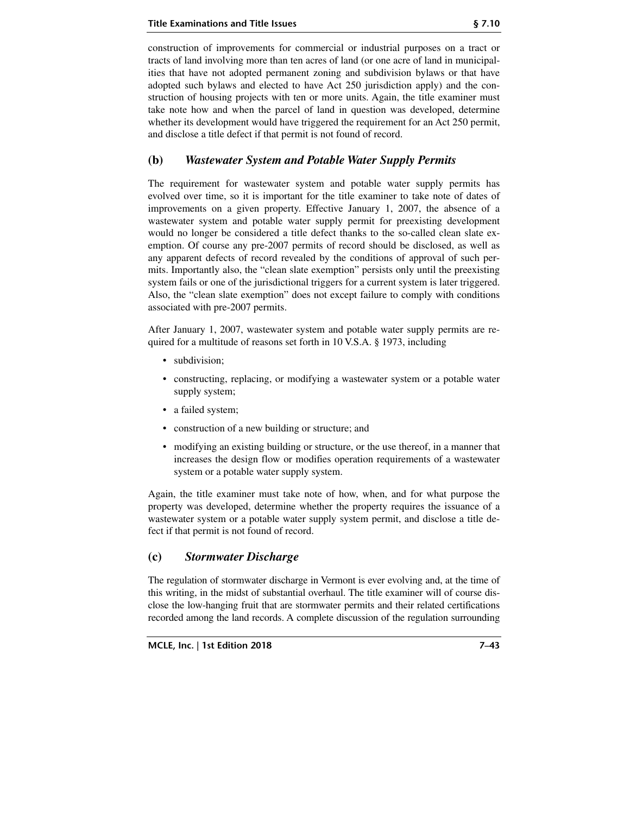construction of improvements for commercial or industrial purposes on a tract or tracts of land involving more than ten acres of land (or one acre of land in municipalities that have not adopted permanent zoning and subdivision bylaws or that have adopted such bylaws and elected to have Act 250 jurisdiction apply) and the construction of housing projects with ten or more units. Again, the title examiner must take note how and when the parcel of land in question was developed, determine whether its development would have triggered the requirement for an Act 250 permit, and disclose a title defect if that permit is not found of record.

## **(b)** *Wastewater System and Potable Water Supply Permits*

The requirement for wastewater system and potable water supply permits has evolved over time, so it is important for the title examiner to take note of dates of improvements on a given property. Effective January 1, 2007, the absence of a wastewater system and potable water supply permit for preexisting development would no longer be considered a title defect thanks to the so-called clean slate exemption. Of course any pre-2007 permits of record should be disclosed, as well as any apparent defects of record revealed by the conditions of approval of such permits. Importantly also, the "clean slate exemption" persists only until the preexisting system fails or one of the jurisdictional triggers for a current system is later triggered. Also, the "clean slate exemption" does not except failure to comply with conditions associated with pre-2007 permits.

After January 1, 2007, wastewater system and potable water supply permits are required for a multitude of reasons set forth in 10 V.S.A. § 1973, including

- subdivision;
- constructing, replacing, or modifying a wastewater system or a potable water supply system;
- a failed system;
- construction of a new building or structure; and
- modifying an existing building or structure, or the use thereof, in a manner that increases the design flow or modifies operation requirements of a wastewater system or a potable water supply system.

Again, the title examiner must take note of how, when, and for what purpose the property was developed, determine whether the property requires the issuance of a wastewater system or a potable water supply system permit, and disclose a title defect if that permit is not found of record.

## **(c)** *Stormwater Discharge*

The regulation of stormwater discharge in Vermont is ever evolving and, at the time of this writing, in the midst of substantial overhaul. The title examiner will of course disclose the low-hanging fruit that are stormwater permits and their related certifications recorded among the land records. A complete discussion of the regulation surrounding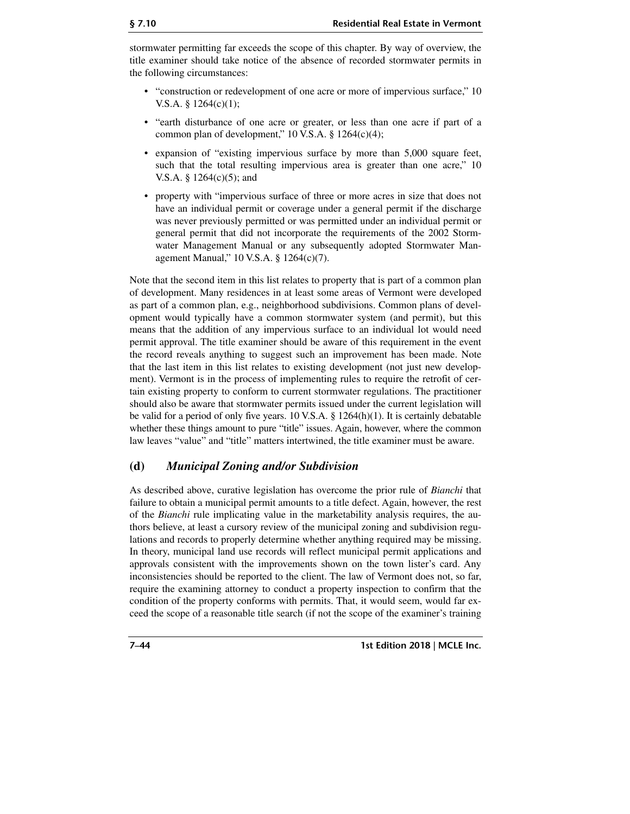stormwater permitting far exceeds the scope of this chapter. By way of overview, the title examiner should take notice of the absence of recorded stormwater permits in the following circumstances:

- "construction or redevelopment of one acre or more of impervious surface," 10 V.S.A. § 1264(c)(1);
- "earth disturbance of one acre or greater, or less than one acre if part of a common plan of development,"  $10$  V.S.A. §  $1264(c)(4)$ ;
- expansion of "existing impervious surface by more than 5,000 square feet, such that the total resulting impervious area is greater than one acre," 10 V.S.A. § 1264(c)(5); and
- property with "impervious surface of three or more acres in size that does not have an individual permit or coverage under a general permit if the discharge was never previously permitted or was permitted under an individual permit or general permit that did not incorporate the requirements of the 2002 Stormwater Management Manual or any subsequently adopted Stormwater Management Manual," 10 V.S.A. § 1264(c)(7).

Note that the second item in this list relates to property that is part of a common plan of development. Many residences in at least some areas of Vermont were developed as part of a common plan, e.g., neighborhood subdivisions. Common plans of development would typically have a common stormwater system (and permit), but this means that the addition of any impervious surface to an individual lot would need permit approval. The title examiner should be aware of this requirement in the event the record reveals anything to suggest such an improvement has been made. Note that the last item in this list relates to existing development (not just new development). Vermont is in the process of implementing rules to require the retrofit of certain existing property to conform to current stormwater regulations. The practitioner should also be aware that stormwater permits issued under the current legislation will be valid for a period of only five years. 10 V.S.A. § 1264(h)(1). It is certainly debatable whether these things amount to pure "title" issues. Again, however, where the common law leaves "value" and "title" matters intertwined, the title examiner must be aware.

## **(d)** *Municipal Zoning and/or Subdivision*

As described above, curative legislation has overcome the prior rule of *Bianchi* that failure to obtain a municipal permit amounts to a title defect. Again, however, the rest of the *Bianchi* rule implicating value in the marketability analysis requires, the authors believe, at least a cursory review of the municipal zoning and subdivision regulations and records to properly determine whether anything required may be missing. In theory, municipal land use records will reflect municipal permit applications and approvals consistent with the improvements shown on the town lister's card. Any inconsistencies should be reported to the client. The law of Vermont does not, so far, require the examining attorney to conduct a property inspection to confirm that the condition of the property conforms with permits. That, it would seem, would far exceed the scope of a reasonable title search (if not the scope of the examiner's training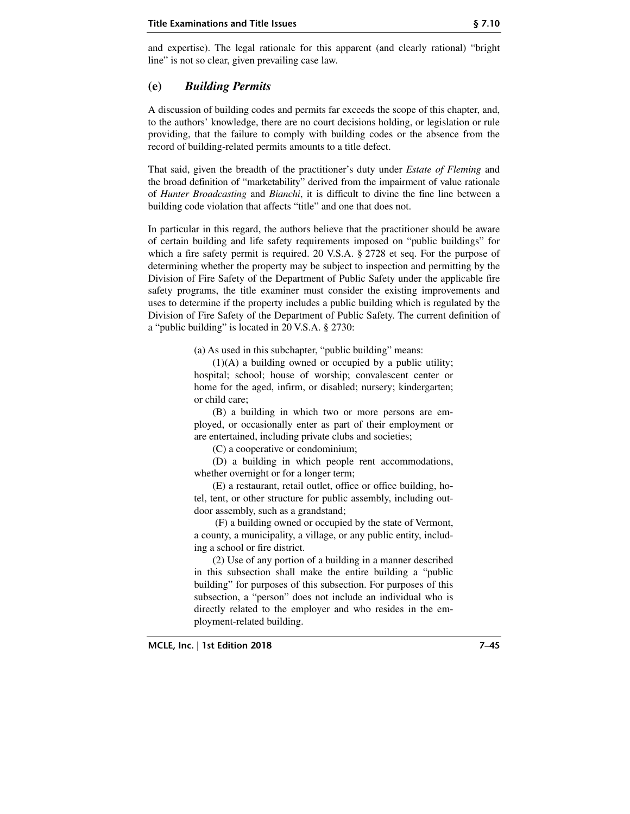and expertise). The legal rationale for this apparent (and clearly rational) "bright line" is not so clear, given prevailing case law.

## **(e)** *Building Permits*

A discussion of building codes and permits far exceeds the scope of this chapter, and, to the authors' knowledge, there are no court decisions holding, or legislation or rule providing, that the failure to comply with building codes or the absence from the record of building-related permits amounts to a title defect.

That said, given the breadth of the practitioner's duty under *Estate of Fleming* and the broad definition of "marketability" derived from the impairment of value rationale of *Hunter Broadcasting* and *Bianchi*, it is difficult to divine the fine line between a building code violation that affects "title" and one that does not.

In particular in this regard, the authors believe that the practitioner should be aware of certain building and life safety requirements imposed on "public buildings" for which a fire safety permit is required. 20 V.S.A. § 2728 et seq. For the purpose of determining whether the property may be subject to inspection and permitting by the Division of Fire Safety of the Department of Public Safety under the applicable fire safety programs, the title examiner must consider the existing improvements and uses to determine if the property includes a public building which is regulated by the Division of Fire Safety of the Department of Public Safety. The current definition of a "public building" is located in 20 V.S.A. § 2730:

(a) As used in this subchapter, "public building" means:

(1)(A) a building owned or occupied by a public utility; hospital; school; house of worship; convalescent center or home for the aged, infirm, or disabled; nursery; kindergarten; or child care;

(B) a building in which two or more persons are employed, or occasionally enter as part of their employment or are entertained, including private clubs and societies;

(C) a cooperative or condominium;

(D) a building in which people rent accommodations, whether overnight or for a longer term;

(E) a restaurant, retail outlet, office or office building, hotel, tent, or other structure for public assembly, including outdoor assembly, such as a grandstand;

 (F) a building owned or occupied by the state of Vermont, a county, a municipality, a village, or any public entity, including a school or fire district.

(2) Use of any portion of a building in a manner described in this subsection shall make the entire building a "public building" for purposes of this subsection. For purposes of this subsection, a "person" does not include an individual who is directly related to the employer and who resides in the employment-related building.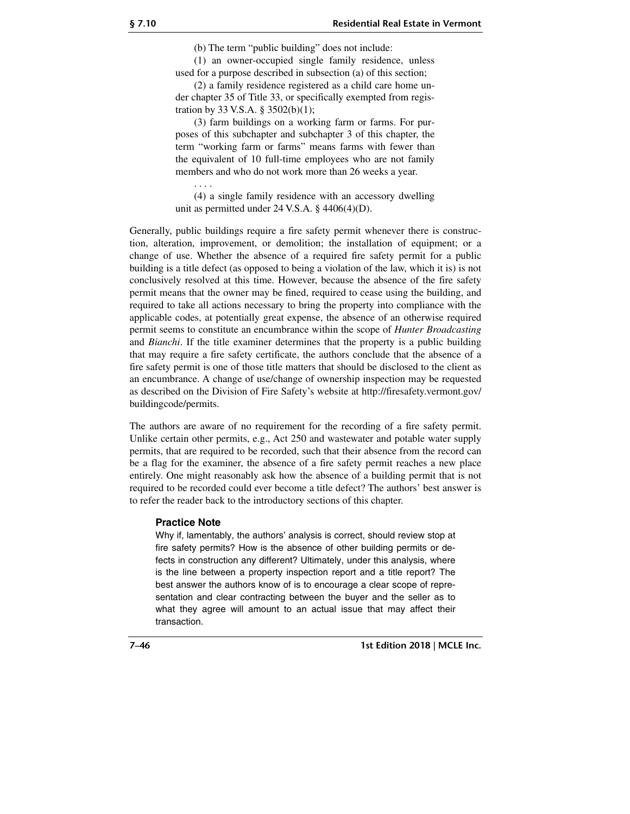(b) The term "public building" does not include:

(1) an owner-occupied single family residence, unless used for a purpose described in subsection (a) of this section;

(2) a family residence registered as a child care home under chapter 35 of Title 33, or specifically exempted from registration by 33 V.S.A. § 3502(b)(1);

(3) farm buildings on a working farm or farms. For purposes of this subchapter and subchapter 3 of this chapter, the term "working farm or farms" means farms with fewer than the equivalent of 10 full-time employees who are not family members and who do not work more than 26 weeks a year.

(4) a single family residence with an accessory dwelling unit as permitted under 24 V.S.A. § 4406(4)(D).

Generally, public buildings require a fire safety permit whenever there is construction, alteration, improvement, or demolition; the installation of equipment; or a change of use. Whether the absence of a required fire safety permit for a public building is a title defect (as opposed to being a violation of the law, which it is) is not conclusively resolved at this time. However, because the absence of the fire safety permit means that the owner may be fined, required to cease using the building, and required to take all actions necessary to bring the property into compliance with the applicable codes, at potentially great expense, the absence of an otherwise required permit seems to constitute an encumbrance within the scope of *Hunter Broadcasting* and *Bianchi*. If the title examiner determines that the property is a public building that may require a fire safety certificate, the authors conclude that the absence of a fire safety permit is one of those title matters that should be disclosed to the client as an encumbrance. A change of use/change of ownership inspection may be requested as described on the Division of Fire Safety's website at http://firesafety.vermont.gov/ buildingcode/permits.

The authors are aware of no requirement for the recording of a fire safety permit. Unlike certain other permits, e.g., Act 250 and wastewater and potable water supply permits, that are required to be recorded, such that their absence from the record can be a flag for the examiner, the absence of a fire safety permit reaches a new place entirely. One might reasonably ask how the absence of a building permit that is not required to be recorded could ever become a title defect? The authors' best answer is to refer the reader back to the introductory sections of this chapter.

#### **Practice Note**

. . . .

Why if, lamentably, the authors' analysis is correct, should review stop at fire safety permits? How is the absence of other building permits or defects in construction any different? Ultimately, under this analysis, where is the line between a property inspection report and a title report? The best answer the authors know of is to encourage a clear scope of representation and clear contracting between the buyer and the seller as to what they agree will amount to an actual issue that may affect their transaction.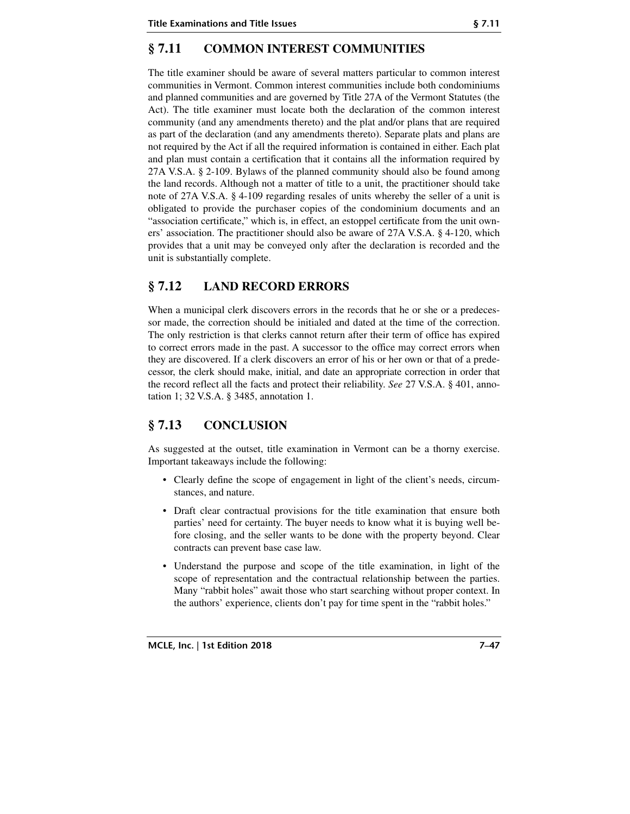# **§ 7.11 COMMON INTEREST COMMUNITIES**

The title examiner should be aware of several matters particular to common interest communities in Vermont. Common interest communities include both condominiums and planned communities and are governed by Title 27A of the Vermont Statutes (the Act). The title examiner must locate both the declaration of the common interest community (and any amendments thereto) and the plat and/or plans that are required as part of the declaration (and any amendments thereto). Separate plats and plans are not required by the Act if all the required information is contained in either. Each plat and plan must contain a certification that it contains all the information required by 27A V.S.A. § 2-109. Bylaws of the planned community should also be found among the land records. Although not a matter of title to a unit, the practitioner should take note of 27A V.S.A. § 4-109 regarding resales of units whereby the seller of a unit is obligated to provide the purchaser copies of the condominium documents and an "association certificate," which is, in effect, an estoppel certificate from the unit owners' association. The practitioner should also be aware of 27A V.S.A. § 4-120, which provides that a unit may be conveyed only after the declaration is recorded and the unit is substantially complete.

# **§ 7.12 LAND RECORD ERRORS**

When a municipal clerk discovers errors in the records that he or she or a predecessor made, the correction should be initialed and dated at the time of the correction. The only restriction is that clerks cannot return after their term of office has expired to correct errors made in the past. A successor to the office may correct errors when they are discovered. If a clerk discovers an error of his or her own or that of a predecessor, the clerk should make, initial, and date an appropriate correction in order that the record reflect all the facts and protect their reliability. *See* 27 V.S.A. § 401, annotation 1; 32 V.S.A. § 3485, annotation 1.

# **§ 7.13 CONCLUSION**

As suggested at the outset, title examination in Vermont can be a thorny exercise. Important takeaways include the following:

- Clearly define the scope of engagement in light of the client's needs, circumstances, and nature.
- Draft clear contractual provisions for the title examination that ensure both parties' need for certainty. The buyer needs to know what it is buying well before closing, and the seller wants to be done with the property beyond. Clear contracts can prevent base case law.
- Understand the purpose and scope of the title examination, in light of the scope of representation and the contractual relationship between the parties. Many "rabbit holes" await those who start searching without proper context. In the authors' experience, clients don't pay for time spent in the "rabbit holes."